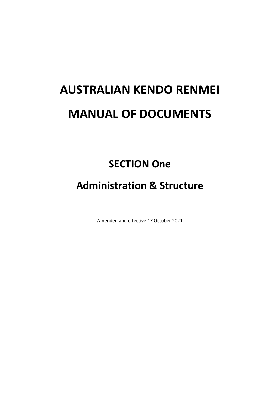# **AUSTRALIAN KENDO RENMEI MANUAL OF DOCUMENTS**

# **SECTION One**

# **Administration & Structure**

Amended and effective 17 October 2021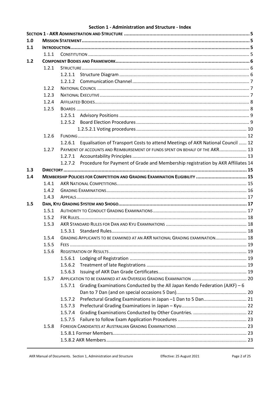#### Section 1 - Administration and Structure - Index

| 1.0 |       |         |                                                                                         |  |  |  |  |
|-----|-------|---------|-----------------------------------------------------------------------------------------|--|--|--|--|
| 1.1 |       |         |                                                                                         |  |  |  |  |
|     | 1.1.1 |         |                                                                                         |  |  |  |  |
| 1.2 |       |         |                                                                                         |  |  |  |  |
|     | 1.2.1 |         |                                                                                         |  |  |  |  |
|     |       | 1.2.1.1 |                                                                                         |  |  |  |  |
|     |       |         |                                                                                         |  |  |  |  |
|     | 1.2.2 |         |                                                                                         |  |  |  |  |
|     | 1.2.3 |         |                                                                                         |  |  |  |  |
|     | 1.2.4 |         |                                                                                         |  |  |  |  |
|     | 1.2.5 |         |                                                                                         |  |  |  |  |
|     |       |         |                                                                                         |  |  |  |  |
|     |       |         |                                                                                         |  |  |  |  |
|     |       |         |                                                                                         |  |  |  |  |
|     | 1.2.6 |         |                                                                                         |  |  |  |  |
|     |       |         | 1.2.6.1 Equalisation of Transport Costs to attend Meetings of AKR National Council  12  |  |  |  |  |
|     | 1.2.7 |         | PAYMENT OF ACCOUNTS AND REIMBURSEMENT OF FUNDS SPENT ON BEHALF OF THE AKR 13            |  |  |  |  |
|     |       |         |                                                                                         |  |  |  |  |
|     |       |         | 1.2.7.2 Procedure for Payment of Grade and Membership registration by AKR Affiliates 14 |  |  |  |  |
| 1.3 |       |         |                                                                                         |  |  |  |  |
| 1.4 |       |         | MEMBERSHIP POLICIES FOR COMPETITION AND GRADING EXAMINATION ELIGIBILITY  15             |  |  |  |  |
|     | 1.4.1 |         |                                                                                         |  |  |  |  |
|     | 1.4.2 |         |                                                                                         |  |  |  |  |
|     | 1.4.3 |         |                                                                                         |  |  |  |  |
| 1.5 |       |         |                                                                                         |  |  |  |  |
|     | 1.5.1 |         |                                                                                         |  |  |  |  |
|     | 1.5.2 |         |                                                                                         |  |  |  |  |
|     | 1.5.3 |         |                                                                                         |  |  |  |  |
|     |       |         |                                                                                         |  |  |  |  |
|     | 1.5.4 |         | GRADING APPLICANTS TO BE EXAMINED AT AN AKR NATIONAL GRADING EXAMINATION 18             |  |  |  |  |
|     | 1.5.5 |         |                                                                                         |  |  |  |  |
|     | 1.5.6 |         |                                                                                         |  |  |  |  |
|     |       | 1.5.6.1 |                                                                                         |  |  |  |  |
|     |       | 1.5.6.2 |                                                                                         |  |  |  |  |
|     |       | 1.5.6.3 |                                                                                         |  |  |  |  |
|     | 1.5.7 |         |                                                                                         |  |  |  |  |
|     |       | 1.5.7.1 | Grading Examinations Conducted by the All Japan Kendo Federation (AJKF) - 6             |  |  |  |  |
|     |       |         |                                                                                         |  |  |  |  |
|     |       | 1.5.7.2 | Prefectural Grading Examinations in Japan -1 Dan to 5 Dan 21                            |  |  |  |  |
|     |       | 1.5.7.3 |                                                                                         |  |  |  |  |
|     |       | 1.5.7.4 |                                                                                         |  |  |  |  |
|     |       | 1.5.7.5 |                                                                                         |  |  |  |  |
|     | 1.5.8 |         |                                                                                         |  |  |  |  |
|     |       |         |                                                                                         |  |  |  |  |
|     |       |         |                                                                                         |  |  |  |  |
|     |       |         |                                                                                         |  |  |  |  |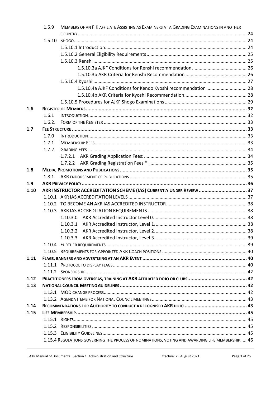|      | 1.5.9  | MEMBERS OF AN FIK AFFILIATE ASSISTING AS EXAMINERS AT A GRADING EXAMINATIONS IN ANOTHER           |  |  |  |  |  |
|------|--------|---------------------------------------------------------------------------------------------------|--|--|--|--|--|
|      |        |                                                                                                   |  |  |  |  |  |
|      |        |                                                                                                   |  |  |  |  |  |
|      |        |                                                                                                   |  |  |  |  |  |
|      |        |                                                                                                   |  |  |  |  |  |
|      |        |                                                                                                   |  |  |  |  |  |
|      |        |                                                                                                   |  |  |  |  |  |
|      |        |                                                                                                   |  |  |  |  |  |
|      |        |                                                                                                   |  |  |  |  |  |
|      |        | 1.5.10.4a AJKF Conditions for Kendo Kyoshi recommendation 28                                      |  |  |  |  |  |
|      |        |                                                                                                   |  |  |  |  |  |
| 1.6  |        |                                                                                                   |  |  |  |  |  |
|      | 1.6.1  |                                                                                                   |  |  |  |  |  |
|      |        |                                                                                                   |  |  |  |  |  |
| 1.7  | 1.6.2. |                                                                                                   |  |  |  |  |  |
|      | 1.7.0  |                                                                                                   |  |  |  |  |  |
|      | 1.7.1  |                                                                                                   |  |  |  |  |  |
|      |        |                                                                                                   |  |  |  |  |  |
|      | 1.7.2  |                                                                                                   |  |  |  |  |  |
|      |        |                                                                                                   |  |  |  |  |  |
| 1.8  |        |                                                                                                   |  |  |  |  |  |
|      | 1.8.1  |                                                                                                   |  |  |  |  |  |
| 1.9  |        |                                                                                                   |  |  |  |  |  |
| 1.10 |        | AKR INSTRUCTOR ACCREDITATION SCHEME (IAS) CURRENTLY UNDER REVIEW  37                              |  |  |  |  |  |
|      |        |                                                                                                   |  |  |  |  |  |
|      |        |                                                                                                   |  |  |  |  |  |
|      |        |                                                                                                   |  |  |  |  |  |
|      |        | 1.10.3.0                                                                                          |  |  |  |  |  |
|      |        | 1.10.3.1                                                                                          |  |  |  |  |  |
|      |        |                                                                                                   |  |  |  |  |  |
|      |        |                                                                                                   |  |  |  |  |  |
|      |        |                                                                                                   |  |  |  |  |  |
|      |        |                                                                                                   |  |  |  |  |  |
| 1.11 |        |                                                                                                   |  |  |  |  |  |
|      |        |                                                                                                   |  |  |  |  |  |
|      |        |                                                                                                   |  |  |  |  |  |
| 1.12 |        |                                                                                                   |  |  |  |  |  |
| 1.13 |        |                                                                                                   |  |  |  |  |  |
|      |        |                                                                                                   |  |  |  |  |  |
|      |        |                                                                                                   |  |  |  |  |  |
| 1.14 |        |                                                                                                   |  |  |  |  |  |
| 1.15 |        |                                                                                                   |  |  |  |  |  |
|      |        |                                                                                                   |  |  |  |  |  |
|      |        |                                                                                                   |  |  |  |  |  |
|      |        |                                                                                                   |  |  |  |  |  |
|      |        | 1.15.4 REGULATIONS GOVERNING THE PROCESS OF NOMINATIONS, VOTING AND AWARDING LIFE MEMBERSHIP.  46 |  |  |  |  |  |
|      |        |                                                                                                   |  |  |  |  |  |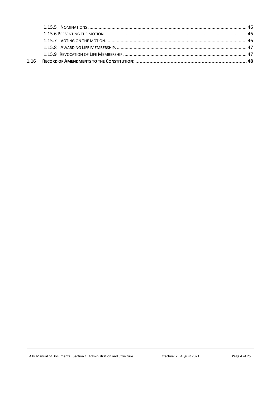| 1.16 |  |
|------|--|
|      |  |
|      |  |
|      |  |
|      |  |
|      |  |
|      |  |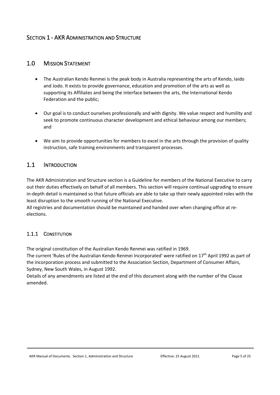# <span id="page-4-0"></span>**SECTION 1 - AKR ADMINISTRATION AND STRUCTURE**

# <span id="page-4-1"></span>1.0 MISSION STATEMENT

- The Australian Kendo Renmei is the peak body in Australia representing the arts of Kendo, Iaido and Jodo. It exists to provide governance, education and promotion of the arts as well as supporting its Affiliates and being the interface between the arts, the International Kendo Federation and the public;
- Our goal is to conduct ourselves professionally and with dignity. We value respect and humility and seek to promote continuous character development and ethical behaviour among our members; and
- We aim to provide opportunities for members to excel in the arts through the provision of quality instruction, safe training environments and transparent processes.

# <span id="page-4-2"></span>1.1 INTRODUCTION

The AKR Administration and Structure section is a Guideline for members of the National Executive to carry out their duties effectively on behalf of all members. This section will require continual upgrading to ensure in-depth detail is maintained so that future officials are able to take up their newly appointed roles with the least disruption to the smooth running of the National Executive.

All registries and documentation should be maintained and handed over when changing office at reelections.

# <span id="page-4-3"></span>1.1.1 CONSTITUTION

The original constitution of the Australian Kendo Renmei was ratified in 1969.

The current 'Rules of the Australian Kendo Renmei Incorporated' were ratified on  $17<sup>th</sup>$  April 1992 as part of the incorporation process and submitted to the Association Section, Department of Consumer Affairs, Sydney, New South Wales, in August 1992.

Details of any amendments are listed at the end of this document along with the number of the Clause amended.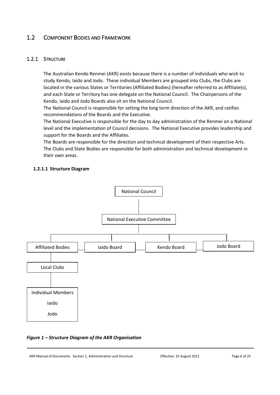# <span id="page-5-0"></span>1.2 COMPONENT BODIES AND FRAMEWORK

# <span id="page-5-1"></span>1.2.1 STRUCTURE

The Australian Kendo Renmei (AKR) exists because there is a number of individuals who wish to study Kendo, Iaido and Jodo. These individual Members are grouped into Clubs, the Clubs are located in the various States or Territories (Affiliated Bodies) (hereafter referred to as Affiliate(s), and each State or Territory has one delegate on the National Council. The Chairpersons of the Kendo, Iaido and Jodo Boards also sit on the National Council.

The National Council is responsible for setting the long term direction of the AKR, and ratifies recommendations of the Boards and the Executive.

The National Executive is responsible for the day to day administration of the Renmei on a National level and the implementation of Council decisions. The National Executive provides leadership and support for the Boards and the Affiliates.

The Boards are responsible for the direction and technical development of their respective Arts. The Clubs and State Bodies are responsible for both administration and technical development in their own areas.

# <span id="page-5-2"></span>**1.2.1.1 Structure Diagram**



# *Figure 1 – Structure Diagram of the AKR Organisation*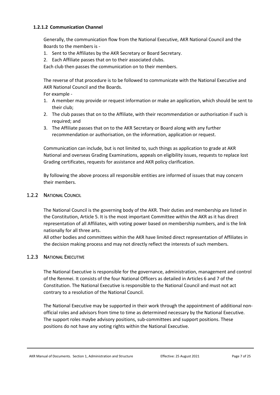#### <span id="page-6-0"></span>**1.2.1.2 Communication Channel**

Generally, the communication flow from the National Executive, AKR National Council and the Boards to the members is -

- 1. Sent to the Affiliates by the AKR Secretary or Board Secretary.
- 2. Each Affiliate passes that on to their associated clubs.

Each club then passes the communication on to their members.

The reverse of that procedure is to be followed to communicate with the National Executive and AKR National Council and the Boards.

For example -

- 1. A member may provide or request information or make an application, which should be sent to their club;
- 2. The club passes that on to the Affiliate, with their recommendation or authorisation if such is required; and
- 3. The Affiliate passes that on to the AKR Secretary or Board along with any further recommendation or authorisation, on the information, application or request.

Communication can include, but is not limited to, such things as application to grade at AKR National and overseas Grading Examinations, appeals on eligibility issues, requests to replace lost Grading certificates, requests for assistance and AKR policy clarification.

By following the above process all responsible entities are informed of issues that may concern their members.

# <span id="page-6-1"></span>1.2.2 NATIONAL COUNCIL

The National Council is the governing body of the AKR. Their duties and membership are listed in the Constitution, Article 5. It is the most important Committee within the AKR as it has direct representation of all Affiliates, with voting power based on membership numbers, and is the link nationally for all three arts.

All other bodies and committees within the AKR have limited direct representation of Affiliates in the decision making process and may not directly reflect the interests of such members.

# <span id="page-6-2"></span>1.2.3 NATIONAL EXECUTIVE

The National Executive is responsible for the governance, administration, management and control of the Renmei. It consists of the four National Officers as detailed in Articles 6 and 7 of the Constitution. The National Executive is responsible to the National Council and must not act contrary to a resolution of the National Council.

The National Executive may be supported in their work through the appointment of additional nonofficial roles and advisors from time to time as determined necessary by the National Executive. The support roles maybe advisory positions, sub-committees and support positions. These positions do not have any voting rights within the National Executive.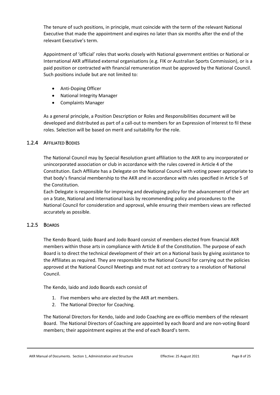The tenure of such positions, in principle, must coincide with the term of the relevant National Executive that made the appointment and expires no later than six months after the end of the relevant Executive's term.

Appointment of 'official' roles that works closely with National government entities or National or International AKR affiliated external organisations (e.g. FIK or Australian Sports Commission), or is a paid position or contracted with financial remuneration must be approved by the National Council. Such positions include but are not limited to:

- Anti-Doping Officer
- National Integrity Manager
- Complaints Manager

As a general principle, a Position Description or Roles and Responsibilities document will be developed and distributed as part of a call-out to members for an Expression of Interest to fil these roles. Selection will be based on merit and suitability for the role.

# <span id="page-7-0"></span>1.2.4 AFFILIATED BODIES

The National Council may by Special Resolution grant affiliation to the AKR to any incorporated or unincorporated association or club in accordance with the rules covered in Article 4 of the Constitution. Each Affiliate has a Delegate on the National Council with voting power appropriate to that body's financial membership to the AKR and in accordance with rules specified in Article 5 of the Constitution.

Each Delegate is responsible for improving and developing policy for the advancement of their art on a State, National and International basis by recommending policy and procedures to the National Council for consideration and approval, while ensuring their members views are reflected accurately as possible.

# <span id="page-7-1"></span>1.2.5 BOARDS

The Kendo Board, Iaido Board and Jodo Board consist of members elected from financial AKR members within those arts in compliance with Article 8 of the Constitution. The purpose of each Board is to direct the technical development of their art on a National basis by giving assistance to the Affiliates as required. They are responsible to the National Council for carrying out the policies approved at the National Council Meetings and must not act contrary to a resolution of National Council.

The Kendo, Iaido and Jodo Boards each consist of

- 1. Five members who are elected by the AKR art members.
- 2. The National Director for Coaching.

The National Directors for Kendo, Iaido and Jodo Coaching are ex-officio members of the relevant Board. The National Directors of Coaching are appointed by each Board and are non-voting Board members; their appointment expires at the end of each Board's term.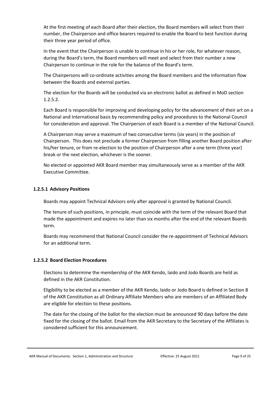At the first meeting of each Board after their election, the Board members will select from their number, the Chairperson and office bearers required to enable the Board to best function during their three year period of office.

In the event that the Chairperson is unable to continue in his or her role, for whatever reason, during the Board's term, the Board members will meet and select from their number a new Chairperson to continue in the role for the balance of the Board's term.

The Chairpersons will co-ordinate activities among the Board members and the information flow between the Boards and external parties.

The election for the Boards will be conducted via an electronic ballot as defined in MoD section 1.2.5.2.

Each Board is responsible for improving and developing policy for the advancement of their art on a National and International basis by recommending policy and procedures to the National Council for consideration and approval. The Chairperson of each Board is a member of the National Council.

A Chairperson may serve a maximum of two consecutive terms (six years) in the position of Chairperson. This does not preclude a former Chairperson from filling another Board position after his/her tenure, or from re-election to the position of Chairperson after a one term (three year) break or the next election, whichever is the sooner.

No elected or appointed AKR Board member may simultaneously serve as a member of the AKR Executive Committee.

#### <span id="page-8-0"></span>**1.2.5.1 Advisory Positions**

Boards may appoint Technical Advisors only after approval is granted by National Council.

The tenure of such positions, in principle, must coincide with the term of the relevant Board that made the appointment and expires no later than six months after the end of the relevant Boards term.

Boards may recommend that National Council consider the re-appointment of Technical Advisors for an additional term.

#### <span id="page-8-1"></span>**1.2.5.2 Board Election Procedures**

Elections to determine the membership of the AKR Kendo, Iaido and Jodo Boards are held as defined in the AKR Constitution.

Eligibility to be elected as a member of the AKR Kendo, Iaido or Jodo Board is defined in Section 8 of the AKR Constitution as all Ordinary Affiliate Members who are members of an Affiliated Body are eligible for election to these positions.

The date for the closing of the ballot for the election must be announced 90 days before the date fixed for the closing of the ballot. Email from the AKR Secretary to the Secretary of the Affiliates is considered sufficient for this announcement.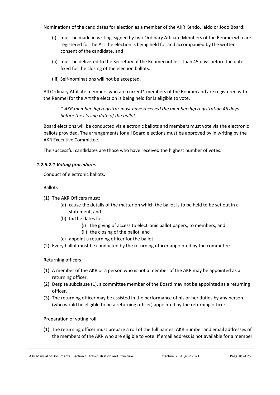Nominations of the candidates for election as a member of the AKR Kendo, Iaido or Jodo Board:

- (i) must be made in writing, signed by two Ordinary Affiliate Members of the Renmei who are registered for the Art the election is being held for and accompanied by the written consent of the candidate, and
- (ii) must be delivered to the Secretary of the Renmei not less than 45 days before the date fixed for the closing of the election ballots.
- (iii) Self-nominations will not be accepted.

All Ordinary Affiliate members who are current\* members of the Renmei and are registered with the Renmei for the Art the election is being held for is eligible to vote.

*\* AKR membership registrar must have received the membership registration 45 days before the closing date of the ballot.* 

Board elections will be conducted via electronic ballots and members must vote via the electronic ballots provided. The arrangements for all Board elections must be approved by in writing by the AKR Executive Committee.

The successful candidates are those who have received the highest number of votes.

# <span id="page-9-0"></span>*1.2.5.2.1 Voting procedures*

Conduct of electronic ballots.

Ballots

- (1) The AKR Officers must:
	- (a) cause the details of the matter on which the ballot is to be held to be set out in a statement, and
	- (b) fix the dates for:
		- (i) the giving of access to electronic ballot papers, to members, and
		- (ii) the closing of the ballot, and
	- (c) appoint a returning officer for the ballot.
- (2) Every ballot must be conducted by the returning officer appointed by the committee.

# Returning officers

- (1) A member of the AKR or a person who is not a member of the AKR may be appointed as a returning officer.
- (2) Despite subclause (1), a committee member of the Board may not be appointed as a returning officer.
- (3) The returning officer may be assisted in the performance of his or her duties by any person (who would be eligible to be a returning officer) appointed by the returning officer.

# Preparation of voting roll

(1) The returning officer must prepare a roll of the full names, AKR number and email addresses of the members of the AKR who are eligible to vote. If email address is not available for a member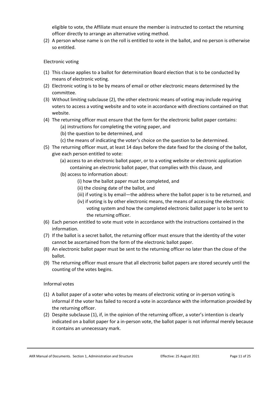eligible to vote, the Affiliate must ensure the member is instructed to contact the returning officer directly to arrange an alternative voting method.

(2) A person whose name is on the roll is entitled to vote in the ballot, and no person is otherwise so entitled.

#### Electronic voting

- (1) This clause applies to a ballot for determination Board election that is to be conducted by means of electronic voting.
- (2) Electronic voting is to be by means of email or other electronic means determined by the committee.
- (3) Without limiting subclause (2), the other electronic means of voting may include requiring voters to access a voting website and to vote in accordance with directions contained on that website.
- (4) The returning officer must ensure that the form for the electronic ballot paper contains:
	- (a) instructions for completing the voting paper, and
	- (b) the question to be determined, and
	- (c) the means of indicating the voter's choice on the question to be determined.
- (5) The returning officer must, at least 14 days before the date fixed for the closing of the ballot, give each person entitled to vote:
	- (a) access to an electronic ballot paper, or to a voting website or electronic application containing an electronic ballot paper, that complies with this clause, and
	- (b) access to information about:
		- (i) how the ballot paper must be completed, and
		- (ii) the closing date of the ballot, and
		- (iii) if voting is by email—the address where the ballot paper is to be returned, and
		- (iv) if voting is by other electronic means, the means of accessing the electronic voting system and how the completed electronic ballot paper is to be sent to the returning officer.
- (6) Each person entitled to vote must vote in accordance with the instructions contained in the information.
- (7) If the ballot is a secret ballot, the returning officer must ensure that the identity of the voter cannot be ascertained from the form of the electronic ballot paper.
- (8) An electronic ballot paper must be sent to the returning officer no later than the close of the ballot.
- (9) The returning officer must ensure that all electronic ballot papers are stored securely until the counting of the votes begins.

#### Informal votes

- (1) A ballot paper of a voter who votes by means of electronic voting or in-person voting is informal if the voter has failed to record a vote in accordance with the information provided by the returning officer.
- (2) Despite subclause (1), if, in the opinion of the returning officer, a voter's intention is clearly indicated on a ballot paper for a in-person vote, the ballot paper is not informal merely because it contains an unnecessary mark.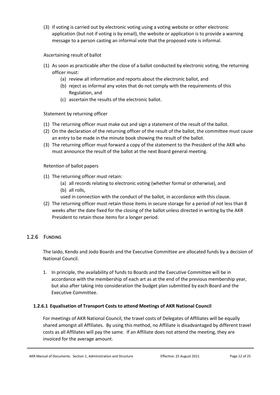(3) If voting is carried out by electronic voting using a voting website or other electronic application (but not if voting is by email), the website or application is to provide a warning message to a person casting an informal vote that the proposed vote is informal.

# Ascertaining result of ballot

- (1) As soon as practicable after the close of a ballot conducted by electronic voting, the returning officer must:
	- (a) review all information and reports about the electronic ballot, and
	- (b) reject as informal any votes that do not comply with the requirements of this Regulation, and
	- (c) ascertain the results of the electronic ballot.

# Statement by returning officer

- (1) The returning officer must make out and sign a statement of the result of the ballot.
- (2) On the declaration of the returning officer of the result of the ballot, the committee must cause an entry to be made in the minute book showing the result of the ballot.
- (3) The returning officer must forward a copy of the statement to the President of the AKR who must announce the result of the ballot at the next Board general meeting.

# Retention of ballot papers

- (1) The returning officer must retain:
	- (a) all records relating to electronic voting (whether formal or otherwise), and (b) all rolls,
	- used in connection with the conduct of the ballot, in accordance with this clause.
- (2) The returning officer must retain those items in secure storage for a period of not less than 8 weeks after the date fixed for the closing of the ballot unless directed in writing by the AKR President to retain those items for a longer period.

# <span id="page-11-0"></span>1.2.6 FUNDING

The Iaido, Kendo and Jodo Boards and the Executive Committee are allocated funds by a decision of National Council.

1. In principle, the availability of funds to Boards and the Executive Committee will be in accordance with the membership of each art as at the end of the previous membership year, but also after taking into consideration the budget plan submitted by each Board and the Executive Committee.

# <span id="page-11-1"></span>**1.2.6.1 Equalisation of Transport Costs to attend Meetings of AKR National Council**

For meetings of AKR National Council, the travel costs of Delegates of Affiliates will be equally shared amongst all Affiliates. By using this method, no Affiliate is disadvantaged by different travel costs as all Affiliates will pay the same. If an Affiliate does not attend the meeting, they are invoiced for the average amount.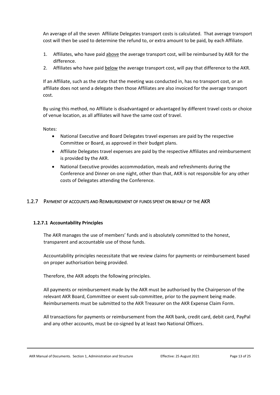An average of all the seven Affiliate Delegates transport costs is calculated. That average transport cost will then be used to determine the refund to, or extra amount to be paid, by each Affiliate.

- 1. Affiliates, who have paid above the average transport cost, will be reimbursed by AKR for the difference.
- 2. Affiliates who have paid below the average transport cost, will pay that difference to the AKR.

If an Affiliate, such as the state that the meeting was conducted in, has no transport cost, or an affiliate does not send a delegate then those Affiliates are also invoiced for the average transport cost.

By using this method, no Affiliate is disadvantaged or advantaged by different travel costs or choice of venue location, as all affiliates will have the same cost of travel.

Notes:

- National Executive and Board Delegates travel expenses are paid by the respective Committee or Board, as approved in their budget plans.
- Affiliate Delegates travel expenses are paid by the respective Affiliates and reimbursement is provided by the AKR.
- National Executive provides accommodation, meals and refreshments during the Conference and Dinner on one night, other than that, AKR is not responsible for any other costs of Delegates attending the Conference.

# <span id="page-12-0"></span>1.2.7 PAYMENT OF ACCOUNTS AND REIMBURSEMENT OF FUNDS SPENT ON BEHALF OF THE AKR

# <span id="page-12-1"></span>**1.2.7.1 Accountability Principles**

The AKR manages the use of members' funds and is absolutely committed to the honest, transparent and accountable use of those funds.

Accountability principles necessitate that we review claims for payments or reimbursement based on proper authorisation being provided.

Therefore, the AKR adopts the following principles.

All payments or reimbursement made by the AKR must be authorised by the Chairperson of the relevant AKR Board, Committee or event sub-committee, prior to the payment being made. Reimbursements must be submitted to the AKR Treasurer on the AKR Expense Claim Form.

All transactions for payments or reimbursement from the AKR bank, credit card, debit card, PayPal and any other accounts, must be co-signed by at least two National Officers.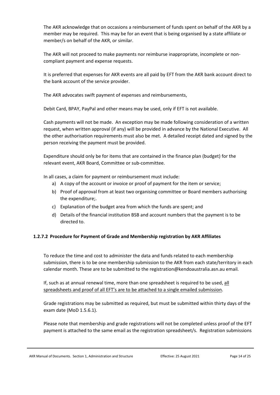The AKR acknowledge that on occasions a reimbursement of funds spent on behalf of the AKR by a member may be required. This may be for an event that is being organised by a state affiliate or member/s on behalf of the AKR, or similar.

The AKR will not proceed to make payments nor reimburse inappropriate, incomplete or noncompliant payment and expense requests.

It is preferred that expenses for AKR events are all paid by EFT from the AKR bank account direct to the bank account of the service provider.

The AKR advocates swift payment of expenses and reimbursements,

Debit Card, BPAY, PayPal and other means may be used, only if EFT is not available.

Cash payments will not be made. An exception may be made following consideration of a written request, when written approval (if any) will be provided in advance by the National Executive. All the other authorisation requirements must also be met. A detailed receipt dated and signed by the person receiving the payment must be provided.

Expenditure should only be for items that are contained in the finance plan (budget) for the relevant event, AKR Board, Committee or sub-committee.

In all cases, a claim for payment or reimbursement must include:

- a) A copy of the account or invoice or proof of payment for the item or service;
- b) Proof of approval from at least two organising committee or Board members authorising the expenditure;.
- c) Explanation of the budget area from which the funds are spent; and
- d) Details of the financial institution BSB and account numbers that the payment is to be directed to.

# <span id="page-13-0"></span>**1.2.7.2 Procedure for Payment of Grade and Membership registration by AKR Affiliates**

To reduce the time and cost to administer the data and funds related to each membership submission, there is to be one membership submission to the AKR from each state/territory in each calendar month. These are to be submitted to the registration@kendoaustralia.asn.au email.

If, such as at annual renewal time, more than one spreadsheet is required to be used, all spreadsheets and proof of all EFT's are to be attached to a single emailed submission.

Grade registrations may be submitted as required, but must be submitted within thirty days of the exam date (MoD 1.5.6.1).

Please note that membership and grade registrations will not be completed unless proof of the EFT payment is attached to the same email as the registration spreadsheet/s. Registration submissions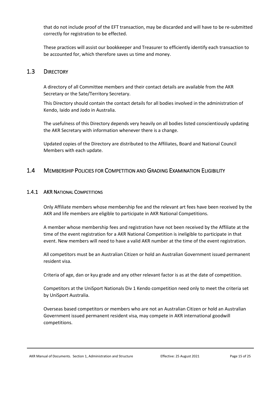that do not include proof of the EFT transaction, may be discarded and will have to be re-submitted correctly for registration to be effected.

These practices will assist our bookkeeper and Treasurer to efficiently identify each transaction to be accounted for, which therefore saves us time and money.

# <span id="page-14-0"></span>1.3 DIRECTORY

A directory of all Committee members and their contact details are available from the AKR Secretary or the Sate/Territory Secretary.

This Directory should contain the contact details for all bodies involved in the administration of Kendo, Iaido and Jodo in Australia.

The usefulness of this Directory depends very heavily on all bodies listed conscientiously updating the AKR Secretary with information whenever there is a change.

Updated copies of the Directory are distributed to the Affiliates, Board and National Council Members with each update.

# <span id="page-14-1"></span>1.4 MEMBERSHIP POLICIES FOR COMPETITION AND GRADING EXAMINATION ELIGIBILITY

#### <span id="page-14-2"></span>1.4.1 AKR NATIONAL COMPETITIONS

Only Affiliate members whose membership fee and the relevant art fees have been received by the AKR and life members are eligible to participate in AKR National Competitions.

A member whose membership fees and registration have not been received by the Affiliate at the time of the event registration for a AKR National Competition is ineligible to participate in that event. New members will need to have a valid AKR number at the time of the event registration.

All competitors must be an Australian Citizen or hold an Australian Government issued permanent resident visa.

Criteria of age, dan or kyu grade and any other relevant factor is as at the date of competition.

Competitors at the UniSport Nationals Div 1 Kendo competition need only to meet the criteria set by UniSport Australia.

Overseas based competitors or members who are not an Australian Citizen or hold an Australian Government issued permanent resident visa, may compete in AKR international goodwill competitions.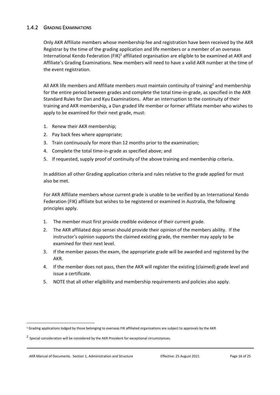# <span id="page-15-0"></span>1.4.2 GRADING EXAMINATIONS

Only AKR Affiliate members whose membership fee and registration have been received by the AKR Registrar by the time of the grading application and life members or a member of an overseas International Kendo Federation (FIK)<sup>1</sup> affiliated organisation are eligible to be examined at AKR and Affiliate's Grading Examinations. New members will need to have a valid AKR number at the time of the event registration.

All AKR life members and Affiliate members must maintain continuity of training<sup>2</sup> and membership for the entire period between grades and complete the total time-in-grade, as specified in the AKR Standard Rules for Dan and Kyu Examinations. After an interruption to the continuity of their training and AKR membership, a Dan graded life member or former affiliate member who wishes to apply to be examined for their next grade, must:

- 1. Renew their AKR membership;
- 2. Pay back fees where appropriate;
- 3. Train continuously for more than 12 months prior to the examination;
- 4. Complete the total time-in-grade as specified above; and
- 5. If requested, supply proof of continuity of the above training and membership criteria.

In addition all other Grading application criteria and rules relative to the grade applied for must also be met.

For AKR Affiliate members whose current grade is unable to be verified by an International Kendo Federation (FIK) affiliate but wishes to be registered or examined in Australia, the following principles apply.

- 1. The member must first provide credible evidence of their current grade.
- 2. The AKR affiliated dojo sensei should provide their opinion of the members ability. If the instructor's opinion supports the claimed existing grade, the member may apply to be examined for their next level.
- 3. If the member passes the exam, the appropriate grade will be awarded and registered by the AKR.
- 4. If the member does not pass, then the AKR will register the existing (claimed) grade level and issue a certificate.
- 5. NOTE that all other eligibility and membership requirements and policies also apply.

<sup>&</sup>lt;sup>1</sup> Grading applications lodged by those belonging to overseas FIK affiliated organisations are subject to approvals by the AKR

 $2$  Special consideration will be considered by the AKR President for exceptional circumstances.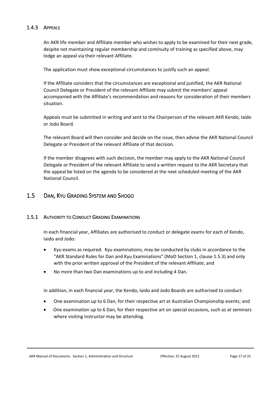# <span id="page-16-0"></span>1.4.3 APPEALS

An AKR life member and Affiliate member who wishes to apply to be examined for their next grade, despite not maintaining regular membership and continuity of training as specified above, may lodge an appeal via their relevant Affiliate.

The application must show exceptional circumstances to justify such an appeal.

If the Affiliate considers that the circumstances are exceptional and justified, the AKR National Council Delegate or President of the relevant Affiliate may submit the members' appeal accompanied with the Affiliate's recommendation and reasons for consideration of their members situation.

Appeals must be submitted in writing and sent to the Chairperson of the relevant AKR Kendo, Iaido or Jodo Board.

The relevant Board will then consider and decide on the issue, then advise the AKR National Council Delegate or President of the relevant Affiliate of that decision.

If the member disagrees with such decision, the member may apply to the AKR National Council Delegate or President of the relevant Affiliate to send a written request to the AKR Secretary that the appeal be listed on the agenda to be considered at the next scheduled meeting of the AKR National Council.

# <span id="page-16-1"></span>1.5 DAN, KYU GRADING SYSTEM AND SHOGO

# <span id="page-16-2"></span>1.5.1 AUTHORITY TO CONDUCT GRADING EXAMINATIONS

In each financial year, Affiliates are authorised to conduct or delegate exams for each of Kendo, Iaido and Jodo:

- Kyu exams as required. Kyu examinations, may be conducted by clubs in accordance to the "AKR Standard Rules for Dan and Kyu Examinations" (MoD Section 1, clause 1.5.3) and only with the prior written approval of the President of the relevant Affiliate; and
- No more than two Dan examinations up to and including 4 Dan.

In addition, in each financial year, the Kendo, Iaido and Jodo Boards are authorised to conduct:

- One examination up to 6 Dan, for their respective art at Australian Championship events; and
- One examination up to 6 Dan, for their respective art on special occasions, such as at seminars where visiting instructor may be attending.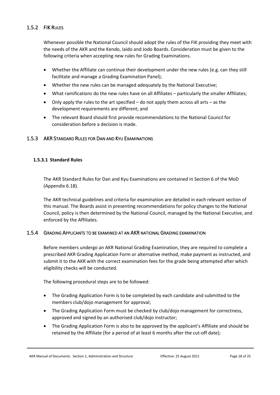# <span id="page-17-0"></span>1.5.2 FIK RULES

Whenever possible the National Council should adopt the rules of the FIK providing they meet with the needs of the AKR and the Kendo, Iaido and Jodo Boards. Consideration must be given to the following criteria when accepting new rules for Grading Examinations.

- Whether the Affiliate can continue their development under the new rules (e.g. can they still facilitate and manage a Grading Examination Panel);
- Whether the new rules can be managed adequately by the National Executive;
- What ramifications do the new rules have on all Affiliates particularly the smaller Affiliates;
- Only apply the rules to the art specified do not apply them across all arts as the development requirements are different; and
- The relevant Board should first provide recommendations to the National Council for consideration before a decision is made.

# <span id="page-17-1"></span>1.5.3 AKR STANDARD RULES FOR DAN AND KYU EXAMINATIONS

#### <span id="page-17-2"></span>**1.5.3.1 Standard Rules**

The AKR Standard Rules for Dan and Kyu Examinations are contained in Section 6 of the MoD (Appendix 6.18).

The AKR technical guidelines and criteria for examination are detailed in each relevant section of this manual. The Boards assist in presenting recommendations for policy changes to the National Council, policy is then determined by the National Council, managed by the National Executive, and enforced by the Affiliates.

# <span id="page-17-3"></span>1.5.4 GRADING APPLICANTS TO BE EXAMINED AT AN AKR NATIONAL GRADING EXAMINATION

Before members undergo an AKR National Grading Examination, they are required to complete a prescribed AKR Grading Application Form or alternative method, make payment as instructed, and submit it to the AKR with the correct examination fees for the grade being attempted after which eligibility checks will be conducted.

The following procedural steps are to be followed:

- The Grading Application Form is to be completed by each candidate and submitted to the members club/dojo management for approval;
- The Grading Application Form must be checked by club/dojo management for correctness, approved and signed by an authorised club/dojo instructor;
- The Grading Application Form is also to be approved by the applicant's Affiliate and should be retained by the Affiliate (for a period of at least 6 months after the cut-off date);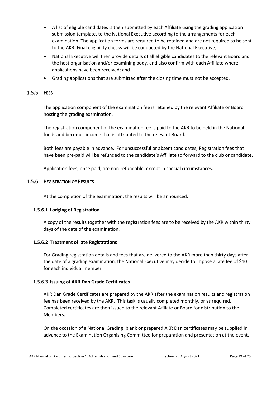- A list of eligible candidates is then submitted by each Affiliate using the grading application submission template, to the National Executive according to the arrangements for each examination. The application forms are required to be retained and are not required to be sent to the AKR. Final eligibility checks will be conducted by the National Executive;
- National Executive will then provide details of all eligible candidates to the relevant Board and the host organisation and/or examining body, and also confirm with each Affiliate where applications have been received; and
- Grading applications that are submitted after the closing time must not be accepted.

# <span id="page-18-0"></span>1.5.5 FEES

The application component of the examination fee is retained by the relevant Affiliate or Board hosting the grading examination.

The registration component of the examination fee is paid to the AKR to be held in the National funds and becomes income that is attributed to the relevant Board.

Both fees are payable in advance. For unsuccessful or absent candidates, Registration fees that have been pre-paid will be refunded to the candidate's Affiliate to forward to the club or candidate.

Application fees, once paid, are non-refundable, except in special circumstances.

# <span id="page-18-1"></span>1.5.6 REGISTRATION OF RESULTS

At the completion of the examination, the results will be announced.

# <span id="page-18-2"></span>**1.5.6.1 Lodging of Registration**

A copy of the results together with the registration fees are to be received by the AKR within thirty days of the date of the examination.

# <span id="page-18-3"></span>**1.5.6.2 Treatment of late Registrations**

For Grading registration details and fees that are delivered to the AKR more than thirty days after the date of a grading examination, the National Executive may decide to impose a late fee of \$10 for each individual member.

# <span id="page-18-4"></span>**1.5.6.3 Issuing of AKR Dan Grade Certificates**

AKR Dan Grade Certificates are prepared by the AKR after the examination results and registration fee has been received by the AKR. This task is usually completed monthly, or as required. Completed certificates are then issued to the relevant Afiliate or Board for distribution to the Members.

On the occasion of a National Grading, blank or prepared AKR Dan certificates may be supplied in advance to the Examination Organising Committee for preparation and presentation at the event.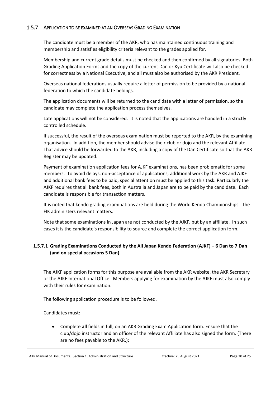# <span id="page-19-0"></span>1.5.7 APPLICATION TO BE EXAMINED AT AN OVERSEAS GRADING EXAMINATION

The candidate must be a member of the AKR, who has maintained continuous training and membership and satisfies eligibility criteria relevant to the grades applied for.

Membership and current grade details must be checked and then confirmed by all signatories. Both Grading Application Forms and the copy of the current Dan or Kyu Certificate will also be checked for correctness by a National Executive, and all must also be authorised by the AKR President.

Overseas national federations usually require a letter of permission to be provided by a national federation to which the candidate belongs.

The application documents will be returned to the candidate with a letter of permission, so the candidate may complete the application process themselves.

Late applications will not be considered. It is noted that the applications are handled in a strictly controlled schedule.

If successful, the result of the overseas examination must be reported to the AKR, by the examining organisation. In addition, the member should advise their club or dojo and the relevant Affiliate. That advice should be forwarded to the AKR, including a copy of the Dan Certificate so that the AKR Register may be updated.

Payment of examination application fees for AJKF examinations, has been problematic for some members. To avoid delays, non-acceptance of applications, additional work by the AKR and AJKF and additional bank fees to be paid, special attention must be applied to this task. Particularly the AJKF requires that all bank fees, both in Australia and Japan are to be paid by the candidate. Each candidate is responsible for transaction matters.

It is noted that kendo grading examinations are held during the World Kendo Championships. The FIK administers relevant matters.

Note that some examinations in Japan are not conducted by the AJKF, but by an affiliate. In such cases it is the candidate's responsibility to source and complete the correct application form.

# <span id="page-19-1"></span>**1.5.7.1 Grading Examinations Conducted by the All Japan Kendo Federation (AJKF) – 6 Dan to 7 Dan (and on special occasions 5 Dan).**

The AJKF application forms for this purpose are available from the AKR website, the AKR Secretary or the AJKF International Office. Members applying for examination by the AJKF must also comply with their rules for examination.

The following application procedure is to be followed.

Candidates must:

• Complete **all** fields in full, on an AKR Grading Exam Application form. Ensure that the club/dojo instructor and an officer of the relevant Affiliate has also signed the form. (There are no fees payable to the AKR.);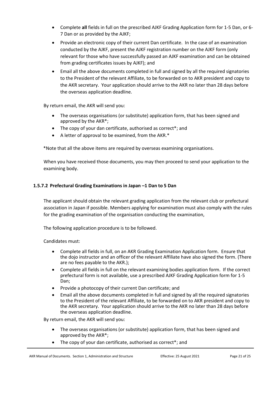- Complete **all** fields in full on the prescribed AJKF Grading Application form for 1-5 Dan, or 6- 7 Dan or as provided by the AJKF;
- Provide an electronic copy of their current Dan certificate. In the case of an examination conducted by the AJKF, present the AJKF registration number on the AJKF form (only relevant for those who have successfully passed an AJKF examination and can be obtained from grading certificates issues by AJKF); and
- Email all the above documents completed in full and signed by all the required signatories to the President of the relevant Affiliate, to be forwarded on to AKR president and copy to the AKR secretary. Your application should arrive to the AKR no later than 28 days before the overseas application deadline.

By return email, the AKR will send you:

- The overseas organisations (or substitute) application form, that has been signed and approved by the AKR\*;
- The copy of your dan certificate, authorised as correct\*; and
- A letter of approval to be examined, from the AKR.\*

\*Note that all the above items are required by overseas examining organisations.

When you have received those documents, you may then proceed to send your application to the examining body.

#### <span id="page-20-0"></span>**1.5.7.2 Prefectural Grading Examinations in Japan –1 Dan to 5 Dan**

The applicant should obtain the relevant grading application from the relevant club or prefectural association in Japan if possible. Members applying for examination must also comply with the rules for the grading examination of the organisation conducting the examination,

The following application procedure is to be followed.

Candidates must:

- Complete all fields in full, on an AKR Grading Examination Application form. Ensure that the dojo instructor and an officer of the relevant Affiliate have also signed the form. (There are no fees payable to the AKR.);
- Complete all fields in full on the relevant examining bodies application form. If the correct prefectural form is not available, use a prescribed AJKF Grading Application form for 1-5 Dan;
- Provide a photocopy of their current Dan certificate; and
- Email all the above documents completed in full and signed by all the required signatories to the President of the relevant Affiliate, to be forwarded on to AKR president and copy to the AKR secretary. Your application should arrive to the AKR no later than 28 days before the overseas application deadline.

By return email, the AKR will send you:

- The overseas organisations (or substitute) application form, that has been signed and approved by the AKR\*;
- The copy of your dan certificate, authorised as correct<sup>\*</sup>; and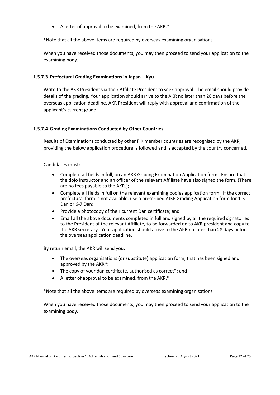• A letter of approval to be examined, from the AKR.\*

\*Note that all the above items are required by overseas examining organisations.

When you have received those documents, you may then proceed to send your application to the examining body.

#### <span id="page-21-0"></span>**1.5.7.3 Prefectural Grading Examinations in Japan – Kyu**

Write to the AKR President via their Affiliate President to seek approval. The email should provide details of the grading. Your application should arrive to the AKR no later than 28 days before the overseas application deadline. AKR President will reply with approval and confirmation of the applicant's current grade.

#### <span id="page-21-1"></span>**1.5.7.4 Grading Examinations Conducted by Other Countries.**

Results of Examinations conducted by other FIK member countries are recognised by the AKR, providing the below application procedure is followed and is accepted by the country concerned.

#### Candidates must:

- Complete all fields in full, on an AKR Grading Examination Application form. Ensure that the dojo instructor and an officer of the relevant Affiliate have also signed the form. (There are no fees payable to the AKR.);
- Complete all fields in full on the relevant examining bodies application form. If the correct prefectural form is not available, use a prescribed AJKF Grading Application form for 1-5 Dan or 6-7 Dan;
- Provide a photocopy of their current Dan certificate; and
- Email all the above documents completed in full and signed by all the required signatories to the President of the relevant Affiliate, to be forwarded on to AKR president and copy to the AKR secretary. Your application should arrive to the AKR no later than 28 days before the overseas application deadline.

By return email, the AKR will send you:

- The overseas organisations (or substitute) application form, that has been signed and approved by the AKR\*;
- The copy of your dan certificate, authorised as correct<sup>\*</sup>; and
- A letter of approval to be examined, from the AKR.\*

\*Note that all the above items are required by overseas examining organisations.

When you have received those documents, you may then proceed to send your application to the examining body.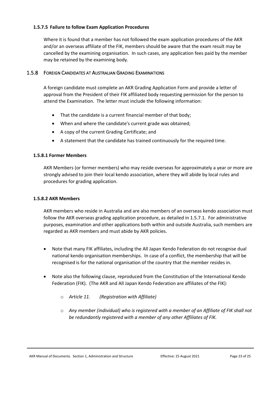#### <span id="page-22-0"></span>**1.5.7.5 Failure to follow Exam Application Procedures**

Where it is found that a member has not followed the exam application procedures of the AKR and/or an overseas affiliate of the FIK, members should be aware that the exam result may be cancelled by the examining organisation. In such cases, any application fees paid by the member may be retained by the examining body.

#### <span id="page-22-1"></span>1.5.8 FOREIGN CANDIDATES AT AUSTRALIAN GRADING EXAMINATIONS

A foreign candidate must complete an AKR Grading Application Form and provide a letter of approval from the President of their FIK affiliated body requesting permission for the person to attend the Examination. The letter must include the following information:

- That the candidate is a current financial member of that body;
- When and where the candidate's current grade was obtained;
- A copy of the current Grading Certificate; and
- A statement that the candidate has trained continuously for the required time.

#### <span id="page-22-2"></span>**1.5.8.1 Former Members**

AKR Members (or former members) who may reside overseas for approximately a year or more are strongly advised to join their local kendo association, where they will abide by local rules and procedures for grading application.

#### <span id="page-22-3"></span>**1.5.8.2 AKR Members**

AKR members who reside in Australia and are also members of an overseas kendo association must follow the AKR overseas grading application procedure, as detailed in 1.5.7.1. For administrative purposes, examination and other applications both within and outside Australia, such members are regarded as AKR members and must abide by AKR policies.

- Note that many FIK affiliates, including the All Japan Kendo Federation do not recognise dual national kendo organisation memberships. In case of a conflict, the membership that will be recognised is for the national organisation of the country that the member resides in.
- Note also the following clause, reproduced from the Constitution of the International Kendo Federation (FIK). (The AKR and All Japan Kendo Federation are affiliates of the FIK):
	- o *Article 11. (Registration with Affiliate)*
	- o *Any member (individual) who is registered with a member of an Affiliate of FIK shall not be redundantly registered with a member of any other Affiliates of FIK.*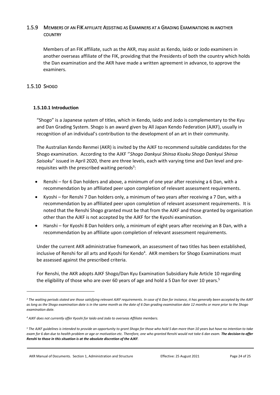# <span id="page-23-0"></span>1.5.9 MEMBERS OF AN FIK AFFILIATE ASSISTING AS EXAMINERS AT A GRADING EXAMINATIONS IN ANOTHER **COUNTRY**

Members of an FIK affiliate, such as the AKR, may assist as Kendo, Iaido or Jodo examiners in another overseas affiliate of the FIK, providing that the Presidents of both the country which holds the Dan examination and the AKR have made a written agreement in advance, to approve the examiners.

# <span id="page-23-1"></span>1.5.10 SHOGO

# <span id="page-23-2"></span>**1.5.10.1 Introduction**

"Shogo" is a Japanese system of titles, which in Kendo, Iaido and Jodo is complementary to the Kyu and Dan Grading System. Shogo is an award given by All Japan Kendo Federation (AJKF), usually in recognition of an individual's contribution to the development of an art in their community.

The Australian Kendo Renmei (AKR) is invited by the AJKF to recommend suitable candidates for the Shogo examination. According to the AJKF ''*Shogo Dankyui Shinsa Kisoku Shogo Dankyui Shinsa Saisoku*" issued in April 2020, there are three levels, each with varying time and Dan level and prerequisites with the prescribed waiting periods<sup>3</sup>:

- Renshi for 6 Dan holders and above, a minimum of one year after receiving a 6 Dan, with a recommendation by an affiliated peer upon completion of relevant assessment requirements.
- Kyoshi for Renshi 7 Dan holders only, a minimum of two years after receiving a 7 Dan, with a recommendation by an affiliated peer upon completion of relevant assessment requirements. It is noted that the Renshi Shogo granted must be that from the AJKF and those granted by organisation other than the AJKF is not accepted by the AJKF for the Kyoshi examination.
- Hanshi for Kyoshi 8 Dan holders only, a minimum of eight years after receiving an 8 Dan, with a recommendation by an affiliate upon completion of relevant assessment requirements.

Under the current AKR administrative framework, an assessment of two titles has been established, inclusive of Renshi for all arts and Kyoshi for Kendo<sup>4</sup>. AKR members for Shogo Examinations must be assessed against the prescribed criteria.

For Renshi, the AKR adopts AJKF Shogo/Dan Kyu Examination Subsidiary Rule Article 10 regarding the eligibility of those who are over 60 years of age and hold a 5 Dan for over 10 years.<sup>5</sup>

AKR Manual of Documents. Section 1, Administration and Structure Effective: 25 August 2021 Page 24 of 25

*<sup>3</sup> The waiting periods stated are those satisfying relevant AJKF requirements. In case of 6 Dan for instance, it has generally been accepted by the AJKF as long as the Shogo examination date is in the same month as the date of 6 Dan grading examination date 12 months or more prior to the Shogo examination date.* 

*<sup>4</sup> AJKF does not currently offer Kyoshi for Iaido and Jodo to overseas Affiliate members.*

*<sup>5</sup> The AJKF guidelines is intended to provide an opportunity to grant Shogo for those who hold 5 dan more than 10 years but have no intention to take exam for 6 dan due to health problem or age or motivation etc. Therefore, one who granted Renshi would not take 6 dan exam. The decision to offer Renshi to those in this situation is at the absolute discretion of the AJKF.*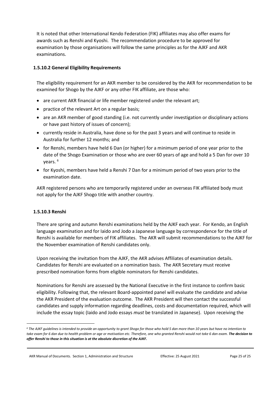It is noted that other International Kendo Federation (FIK) affiliates may also offer exams for awards such as Renshi and Kyoshi. The recommendation procedure to be approved for examination by those organisations will follow the same principles as for the AJKF and AKR examinations.

# <span id="page-24-0"></span>**1.5.10.2 General Eligibility Requirements**

The eligibility requirement for an AKR member to be considered by the AKR for recommendation to be examined for Shogo by the AJKF or any other FIK affiliate, are those who:

- are current AKR financial or life member registered under the relevant art;
- practice of the relevant Art on a regular basis;
- are an AKR member of good standing (i.e. not currently under investigation or disciplinary actions or have past history of issues of concern);
- currently reside in Australia, have done so for the past 3 years and will continue to reside in Australia for further 12 months; and
- for Renshi, members have held 6 Dan (or higher) for a minimum period of one year prior to the date of the Shogo Examination or those who are over 60 years of age and hold a 5 Dan for over 10 years. <sup>6</sup>
- for Kyoshi, members have held a Renshi 7 Dan for a minimum period of two years prior to the examination date.

AKR registered persons who are temporarily registered under an overseas FIK affiliated body must not apply for the AJKF Shogo title with another country.

#### <span id="page-24-1"></span>**1.5.10.3 Renshi**

There are spring and autumn Renshi examinations held by the AJKF each year. For Kendo, an English language examination and for Iaido and Jodo a Japanese language by correspondence for the title of Renshi is available for members of FIK affiliates. The AKR will submit recommendations to the AJKF for the November examination of Renshi candidates only.

Upon receiving the invitation from the AJKF, the AKR advises Affiliates of examination details. Candidates for Renshi are evaluated on a nomination basis. The AKR Secretary must receive prescribed nomination forms from eligible nominators for Renshi candidates.

Nominations for Renshi are assessed by the National Executive in the first instance to confirm basic eligibility. Following that, the relevant Board-appointed panel will evaluate the candidate and advise the AKR President of the evaluation outcome. The AKR President will then contact the successful candidates and supply information regarding deadlines, costs and documentation required, which will include the essay topic (Iaido and Jodo essays *must* be translated in Japanese). Upon receiving the

AKR Manual of Documents. Section 1, Administration and Structure **Effective: 25 August 2021** Page 25 of 25

*<sup>6</sup> The AJKF guidelines is intended to provide an opportunity to grant Shogo for those who hold 5 dan more than 10 years but have no intention to*  take exam for 6 dan due to health problem or age or motivation etc. Therefore, one who granted Renshi would not take 6 dan exam. **The decision to** *offer Renshi to those in this situation is at the absolute discretion of the AJKF.*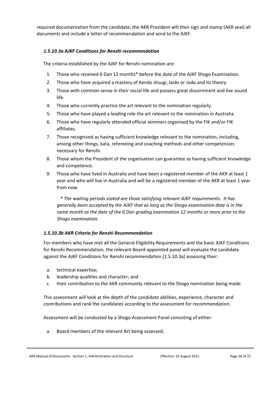required documentation from the candidate, the AKR President will then sign and stamp (AKR seal) all documents and include a letter of recommendation and send to the AJKF.

# <span id="page-25-0"></span>*1.5.10.3a AJKF Conditions for Renshi recommendation*

The criteria established by the AJKF for Renshi nomination are:

- 1. Those who received 6 Dan 12 months\* before the date of the AJKF Shogo Examination.
- 2. Those who have acquired a mastery of Kendo Jitsugi, Iaido or Jodo and its theory.
- 3. Those with common sense in their social life and possess great discernment and live sound life.
- 4. Those who currently practice the art relevant to the nomination regularly.
- 5. Those who have played a leading role the art relevant to the nomination in Australia.
- 6. Those who have regularly attended official seminars organised by the FIK and/or FIK affiliates.
- 7. Those recognised as having sufficient knowledge relevant to the nomination, including, among other things, kata, refereeing and coaching methods and other competencies necessary for Renshi.
- 8. Those whom the President of the organisation can guarantee as having sufficient knowledge and competence.
- 9. Those who have lived in Australia and have been a registered member of the AKR at least 1 year and who will live in Australia and will be a registered member of the AKR at least 1 year from now.

*\* The waiting periods stated are those satisfying relevant AJKF requirements. It has generally been accepted by the AJKF that as long as the Shogo examination date is in the same month as the date of the 6 Dan grading examination 12 months or more prior to the Shogo examination.*

# <span id="page-25-1"></span>*1.5.10.3b AKR Criteria for Renshi Recommendation*

For members who have met all the General Eligibility Requirements and the basic AJKF Conditions for Renshi Recommendation, the relevant Board-appointed panel will evaluate the candidate against the AJKF Conditions for Renshi recommendation (1.5.10.3a) assessing their:

- a. technical expertise;
- b. leadership qualities and character; and
- c. their contribution to the AKR community relevant to the Shogo nomination being made.

This assessment will look at the depth of the candidate abilities, experience, character and contributions and rank the candidates according to the assessment for recommendation.

Assessment will be conducted by a Shogo Assessment Panel consisting of either:

a. Board members of the relevant Art being assessed;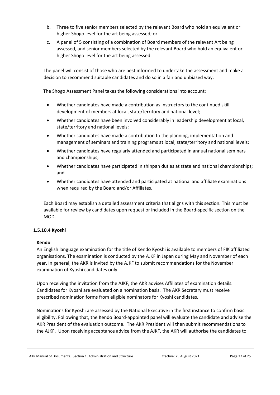- b. Three to five senior members selected by the relevant Board who hold an equivalent or higher Shogo level for the art being assessed; or
- c. A panel of 5 consisting of a combination of Board members of the relevant Art being assessed, and senior members selected by the relevant Board who hold an equivalent or higher Shogo level for the art being assessed.

The panel will consist of those who are best informed to undertake the assessment and make a decision to recommend suitable candidates and do so in a fair and unbiased way.

The Shogo Assessment Panel takes the following considerations into account:

- Whether candidates have made a contribution as instructors to the continued skill development of members at local, state/territory and national level;
- Whether candidates have been involved considerably in leadership development at local, state/territory and national levels;
- Whether candidates have made a contribution to the planning, implementation and management of seminars and training programs at local, state/territory and national levels;
- Whether candidates have regularly attended and participated in annual national seminars and championships;
- Whether candidates have participated in shinpan duties at state and national championships; and
- Whether candidates have attended and participated at national and affiliate examinations when required by the Board and/or Affiliates.

Each Board may establish a detailed assessment criteria that aligns with this section. This must be available for review by candidates upon request or included in the Board-specific section on the MOD.

# <span id="page-26-0"></span>**1.5.10.4 Kyoshi**

# **Kendo**

An English language examination for the title of Kendo Kyoshi is available to members of FIK affiliated organisations. The examination is conducted by the AJKF in Japan during May and November of each year. In general, the AKR is invited by the AJKF to submit recommendations for the November examination of Kyoshi candidates only.

Upon receiving the invitation from the AJKF, the AKR advises Affiliates of examination details. Candidates for Kyoshi are evaluated on a nomination basis. The AKR Secretary must receive prescribed nomination forms from eligible nominators for Kyoshi candidates.

Nominations for Kyoshi are assessed by the National Executive in the first instance to confirm basic eligibility. Following that, the Kendo Board-appointed panel will evaluate the candidate and advise the AKR President of the evaluation outcome. The AKR President will then submit recommendations to the AJKF. Upon receiving acceptance advice from the AJKF, the AKR will authorise the candidates to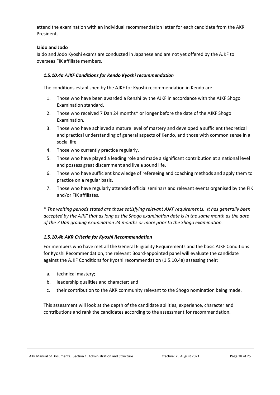attend the examination with an individual recommendation letter for each candidate from the AKR President.

#### **Iaido and Jodo**

Iaido and Jodo Kyoshi exams are conducted in Japanese and are not yet offered by the AJKF to overseas FIK affiliate members.

#### <span id="page-27-0"></span>*1.5.10.4a AJKF Conditions for Kendo Kyoshi recommendation*

The conditions established by the AJKF for Kyoshi recommendation in Kendo are:

- 1. Those who have been awarded a Renshi by the AJKF in accordance with the AJKF Shogo Examination standard.
- 2. Those who received 7 Dan 24 months\* or longer before the date of the AJKF Shogo Examination.
- 3. Those who have achieved a mature level of mastery and developed a sufficient theoretical and practical understanding of general aspects of Kendo, and those with common sense in a social life.
- 4. Those who currently practice regularly.
- 5. Those who have played a leading role and made a significant contribution at a national level and possess great discernment and live a sound life.
- 6. Those who have sufficient knowledge of refereeing and coaching methods and apply them to practice on a regular basis.
- 7. Those who have regularly attended official seminars and relevant events organised by the FIK and/or FIK affiliates.

*\* The waiting periods stated are those satisfying relevant AJKF requirements. It has generally been accepted by the AJKF that as long as the Shogo examination date is in the same month as the date of the 7 Dan grading examination 24 months or more prior to the Shogo examination.* 

# <span id="page-27-1"></span>*1.5.10.4b AKR Criteria for Kyoshi Recommendation*

For members who have met all the General Eligibility Requirements and the basic AJKF Conditions for Kyoshi Recommendation, the relevant Board-appointed panel will evaluate the candidate against the AJKF Conditions for Kyoshi recommendation (1.5.10.4a) assessing their:

- a. technical mastery;
- b. leadership qualities and character; and
- c. their contribution to the AKR community relevant to the Shogo nomination being made.

This assessment will look at the depth of the candidate abilities, experience, character and contributions and rank the candidates according to the assessment for recommendation.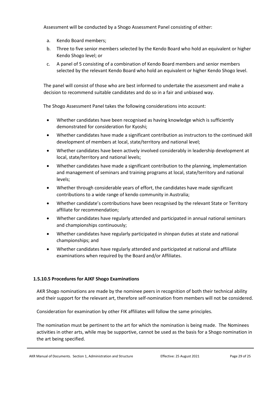Assessment will be conducted by a Shogo Assessment Panel consisting of either:

- a. Kendo Board members;
- b. Three to five senior members selected by the Kendo Board who hold an equivalent or higher Kendo Shogo level; or
- c. A panel of 5 consisting of a combination of Kendo Board members and senior members selected by the relevant Kendo Board who hold an equivalent or higher Kendo Shogo level.

The panel will consist of those who are best informed to undertake the assessment and make a decision to recommend suitable candidates and do so in a fair and unbiased way.

The Shogo Assessment Panel takes the following considerations into account:

- Whether candidates have been recognised as having knowledge which is sufficiently demonstrated for consideration for Kyoshi;
- Whether candidates have made a significant contribution as instructors to the continued skill development of members at local, state/territory and national level;
- Whether candidates have been actively involved considerably in leadership development at local, state/territory and national levels;
- Whether candidates have made a significant contribution to the planning, implementation and management of seminars and training programs at local, state/territory and national levels;
- Whether through considerable years of effort, the candidates have made significant contributions to a wide range of kendo community in Australia;
- Whether candidate's contributions have been recognised by the relevant State or Territory affiliate for recommendation;
- Whether candidates have regularly attended and participated in annual national seminars and championships continuously;
- Whether candidates have regularly participated in shinpan duties at state and national championships; and
- Whether candidates have regularly attended and participated at national and affiliate examinations when required by the Board and/or Affiliates.

# <span id="page-28-0"></span>**1.5.10.5 Procedures for AJKF Shogo Examinations**

AKR Shogo nominations are made by the nominee peers in recognition of both their technical ability and their support for the relevant art, therefore self-nomination from members will not be considered.

Consideration for examination by other FIK affiliates will follow the same principles.

The nomination must be pertinent to the art for which the nomination is being made. The Nominees activities in other arts, while may be supportive, cannot be used as the basis for a Shogo nomination in the art being specified.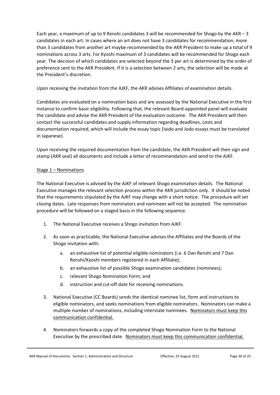Each year, a maximum of up to 9 Renshi candidates 3 will be recommended for Shogo by the AKR – 3 candidates in each art. In cases where an art does not have 3 candidates for recommendation, more than 3 candidates from another art maybe recommended by the AKR President to make up a total of 9 nominations across 3 arts. For Kyoshi maximum of 3 candidates will be recommended for Shogo each year. The decision of which candidates are selected beyond the 3 per art is determined by the order of preference sent to the AKR President. If it is a selection between 2 arts, the selection will be made at the President's discretion.

Upon receiving the invitation from the AJKF, the AKR advises Affiliates of examination details.

Candidates are evaluated on a nomination basis and are assessed by the National Executive in the first instance to confirm basic eligibility. Following that, the relevant Board-appointed panel will evaluate the candidate and advise the AKR President of the evaluation outcome. The AKR President will then contact the successful candidates and supply information regarding deadlines, costs and documentation required, which will include the essay topic (Iaido and Jodo essays must be translated in Japanese).

Upon receiving the required documentation from the candidate, the AKR President will then sign and stamp (AKR seal) all documents and include a letter of recommendation and send to the AJKF.

# Stage 1 – Nominations

The National Executive is advised by the AJKF of relevant Shogo examination details. The National Executive manages the relevant selection process within the AKR jurisdiction only. It should be noted that the requirements stipulated by the AJKF may change with a short notice. The procedure will set closing dates. Late responses from nominators and nominees will not be accepted. The nomination procedure will be followed on a staged basis in the following sequence.

- 1. The National Executive receives a Shogo invitation from AJKF.
- 2. As soon as practicable, the National Executive advises the Affiliates and the Boards of the Shogo invitation with:
	- a. an exhaustive list of potential eligible nominators (i.e. 6 Dan Renshi and 7 Dan Renshi/Kyoshi members registered in each Affiliate);
	- b. an exhaustive list of possible Shogo examination candidates (nominees);
	- c. relevant Shogo Nomination Form; and
	- d. instruction and cut-off date for receiving nominations.
- 3. National Executive (CC Boards) sends the identical nominee list, form and instructions to eligible nominators, and seeks nominations from eligible nominators. Nominators can make a multiple number of nominations, including interstate nominees. Nominators must keep this communication confidential.
- 4. Nominators forwards a copy of the completed Shogo Nomination Form to the National Executive by the prescribed date. Nominators must keep this communication confidential.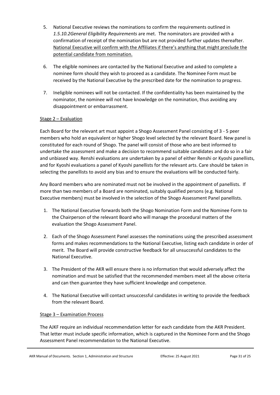- 5. National Executive reviews the nominations to confirm the requirements outlined in *1.5.10.2General Eligibility Requirements* are met. The nominators are provided with a confirmation of receipt of the nomination but are not provided further updates thereafter. National Executive will confirm with the Affiliates if there's anything that might preclude the potential candidate from nomination.
- 6. The eligible nominees are contacted by the National Executive and asked to complete a nominee form should they wish to proceed as a candidate. The Nominee Form must be received by the National Executive by the prescribed date for the nomination to progress.
- 7. Ineligible nominees will not be contacted. If the confidentiality has been maintained by the nominator, the nominee will not have knowledge on the nomination, thus avoiding any disappointment or embarrassment.

# Stage 2 – Evaluation

Each Board for the relevant art must appoint a Shogo Assessment Panel consisting of 3 - 5 peer members who hold an equivalent or higher Shogo level selected by the relevant Board. New panel is constituted for each round of Shogo. The panel will consist of those who are best informed to undertake the assessment and make a decision to recommend suitable candidates and do so in a fair and unbiased way. Renshi evaluations are undertaken by a panel of either Renshi or Kyoshi panellists, and for Kyoshi evaluations a panel of Kyoshi panellists for the relevant arts. Care should be taken in selecting the panellists to avoid any bias and to ensure the evaluations will be conducted fairly.

Any Board members who are nominated must not be involved in the appointment of panellists. If more than two members of a Board are nominated, suitably qualified persons (e.g. National Executive members) must be involved in the selection of the Shogo Assessment Panel panellists.

- 1. The National Executive forwards both the Shogo Nomination Form and the Nominee Form to the Chairperson of the relevant Board who will manage the procedural matters of the evaluation the Shogo Assessment Panel.
- 2. Each of the Shogo Assessment Panel assesses the nominations using the prescribed assessment forms and makes recommendations to the National Executive, listing each candidate in order of merit. The Board will provide constructive feedback for all unsuccessful candidates to the National Executive.
- 3. The President of the AKR will ensure there is no information that would adversely affect the nomination and must be satisfied that the recommended members meet all the above criteria and can then guarantee they have sufficient knowledge and competence.
- 4. The National Executive will contact unsuccessful candidates in writing to provide the feedback from the relevant Board.

# Stage 3 – Examination Process

The AJKF require an individual recommendation letter for each candidate from the AKR President. That letter must include specific information, which is captured in the Nominee Form and the Shogo Assessment Panel recommendation to the National Executive.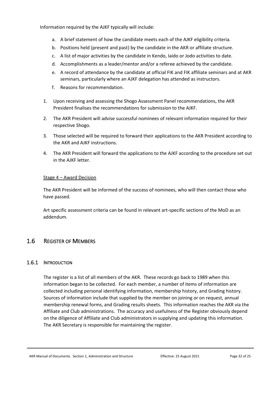Information required by the AJKF typically will include:

- a. A brief statement of how the candidate meets each of the AJKF eligibility criteria.
- b. Positions held (present and past) by the candidate in the AKR or affiliate structure.
- c. A list of major activities by the candidate in Kendo, Iaido or Jodo activities to date.
- d. Accomplishments as a leader/mentor and/or a referee achieved by the candidate.
- e. A record of attendance by the candidate at official FIK and FIK affiliate seminars and at AKR seminars, particularly where an AJKF delegation has attended as instructors.
- f. Reasons for recommendation.
- 1. Upon receiving and assessing the Shogo Assessment Panel recommendations, the AKR President finalises the recommendations for submission to the AJKF.
- 2. The AKR President will advise successful nominees of relevant information required for their respective Shogo.
- 3. Those selected will be required to forward their applications to the AKR President according to the AKR and AJKF instructions.
- 4. The AKR President will forward the applications to the AJKF according to the procedure set out in the AJKF letter.

# Stage 4 – Award Decision

The AKR President will be informed of the success of nominees, who will then contact those who have passed.

Art specific assessment criteria can be found in relevant art-specific sections of the MoD as an addendum.

# <span id="page-31-0"></span>1.6 REGISTER OF MEMBERS

# <span id="page-31-1"></span>1.6.1 INTRODUCTION

The register is a list of all members of the AKR. These records go back to 1989 when this information began to be collected. For each member, a number of items of information are collected including personal identifying information, membership history, and Grading history. Sources of information include that supplied by the member on joining or on request, annual membership renewal forms, and Grading results sheets. This information reaches the AKR via the Affiliate and Club administrations. The accuracy and usefulness of the Register obviously depend on the diligence of Affiliate and Club administrators in supplying and updating this information. The AKR Secretary is responsible for maintaining the register.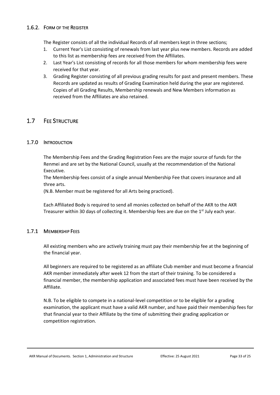# <span id="page-32-0"></span>1.6.2. FORM OF THE REGISTER

The Register consists of all the individual Records of all members kept in three sections;

- 1. Current Year's List consisting of renewals from last year plus new members. Records are added to this list as membership fees are received from the Affiliates.
- 2. Last Year's List consisting of records for all those members for whom membership fees were received for that year.
- 3. Grading Register consisting of all previous grading results for past and present members. These Records are updated as results of Grading Examination held during the year are registered. Copies of all Grading Results, Membership renewals and New Members information as received from the Affiliates are also retained.

# <span id="page-32-1"></span>1.7 FEE STRUCTURE

# <span id="page-32-2"></span>1.7.0 INTRODUCTION

The Membership Fees and the Grading Registration Fees are the major source of funds for the Renmei and are set by the National Council, usually at the recommendation of the National Executive.

The Membership fees consist of a single annual Membership Fee that covers insurance and all three arts.

(N.B. Member must be registered for all Arts being practiced).

Each Affiliated Body is required to send all monies collected on behalf of the AKR to the AKR Treasurer within 30 days of collecting it. Membership fees are due on the 1<sup>st</sup> July each year.

# <span id="page-32-3"></span>1.7.1 MEMBERSHIP FEES

All existing members who are actively training must pay their membership fee at the beginning of the financial year.

All beginners are required to be registered as an affiliate Club member and must become a financial AKR member immediately after week 12 from the start of their training. To be considered a financial member, the membership application and associated fees must have been received by the Affiliate.

N.B. To be eligible to compete in a national-level competition or to be eligible for a grading examination, the applicant must have a valid AKR number, and have paid their membership fees for that financial year to their Affiliate by the time of submitting their grading application or competition registration.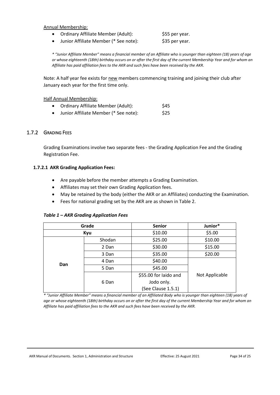#### Annual Membership:

- Ordinary Affiliate Member (Adult): \$55 per year.
- Junior Affiliate Member (\* See note): \$35 per year.

*\* "Junior Affiliate Member" means a financial member of an Affiliate who is younger than eighteen (18) years of age or whose eighteenth (18th) birthday occurs on or after the first day of the current Membership Year and for whom an Affiliate has paid affiliation fees to the AKR and such fees have been received by the AKR.*

Note: A half year fee exists for new members commencing training and joining their club after January each year for the first time only.

#### Half Annual Membership:

- Ordinary Affiliate Member (Adult): \$45
- Junior Affiliate Member (\* See note): \$25

# <span id="page-33-0"></span>1.7.2 GRADING FEES

Grading Examinations involve two separate fees - the Grading Application Fee and the Grading Registration Fee.

#### <span id="page-33-1"></span>**1.7.2.1 AKR Grading Application Fees:**

- Are payable before the member attempts a Grading Examination.
- Affiliates may set their own Grading Application fees.
- May be retained by the body (either the AKR or an Affiliates) conducting the Examination.
- Fees for national grading set by the AKR are as shown in Table 2.

#### *Table 1 – AKR Grading Application Fees*

|     | Grade  | <b>Senior</b>         | Junior*        |  |  |
|-----|--------|-----------------------|----------------|--|--|
|     | Kyu    | \$10.00               | \$5.00         |  |  |
|     | Shodan | \$25.00               | \$10.00        |  |  |
|     | 2 Dan  | \$30.00               | \$15.00        |  |  |
|     | 3 Dan  | \$35.00               | \$20.00        |  |  |
| Dan | 4 Dan  | \$40.00               |                |  |  |
|     | 5 Dan  | \$45.00               |                |  |  |
|     |        | \$55.00 for laido and | Not Applicable |  |  |
|     | 6 Dan  | Jodo only.            |                |  |  |
|     |        | (See Clause 1.5.1)    |                |  |  |

*\* "Junior Affiliate Member" means a financial member of an Affiliated Body who is younger than eighteen (18) years of age or whose eighteenth (18th) birthday occurs on or after the first day of the current Membership Year and for whom an Affiliate has paid affiliation fees to the AKR and such fees have been received by the AKR.*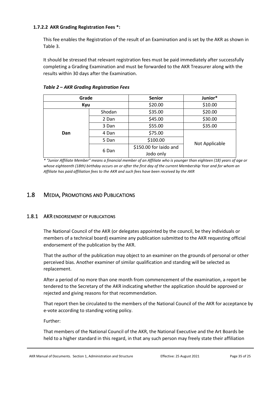### <span id="page-34-0"></span>**1.7.2.2 AKR Grading Registration Fees \*:**

This fee enables the Registration of the result of an Examination and is set by the AKR as shown in Table 3.

It should be stressed that relevant registration fees must be paid immediately after successfully completing a Grading Examination and must be forwarded to the AKR Treasurer along with the results within 30 days after the Examination.

| Grade |        | <b>Senior</b>          | Junior*        |  |  |
|-------|--------|------------------------|----------------|--|--|
| Kyu   |        | \$20.00                | \$10.00        |  |  |
|       | Shodan | \$35.00                | \$20.00        |  |  |
|       | 2 Dan  | \$45.00                | \$30.00        |  |  |
|       | 3 Dan  | \$55.00                | \$35.00        |  |  |
| Dan   | 4 Dan  | \$75.00                |                |  |  |
|       | 5 Dan  | \$100.00               | Not Applicable |  |  |
|       | 6 Dan  | \$150.00 for laido and |                |  |  |
|       |        | Jodo only              |                |  |  |

*Table 2 – AKR Grading Registration Fees*

*\* "Junior Affiliate Member" means a financial member of an Affiliate who is younger than eighteen (18) years of age or whose eighteenth (18th) birthday occurs on or after the first day of the current Membership Year and for whom an Affiliate has paid affiliation fees to the AKR and such fees have been received by the AKR*

# <span id="page-34-1"></span>1.8 MEDIA, PROMOTIONS AND PUBLICATIONS

# <span id="page-34-2"></span>1.8.1 AKR ENDORSEMENT OF PUBLICATIONS

The National Council of the AKR (or delegates appointed by the council, be they individuals or members of a technical board) examine any publication submitted to the AKR requesting official endorsement of the publication by the AKR.

That the author of the publication may object to an examiner on the grounds of personal or other perceived bias. Another examiner of similar qualification and standing will be selected as replacement.

After a period of no more than one month from commencement of the examination, a report be tendered to the Secretary of the AKR indicating whether the application should be approved or rejected and giving reasons for that recommendation.

That report then be circulated to the members of the National Council of the AKR for acceptance by e-vote according to standing voting policy.

Further:

That members of the National Council of the AKR, the National Executive and the Art Boards be held to a higher standard in this regard, in that any such person may freely state their affiliation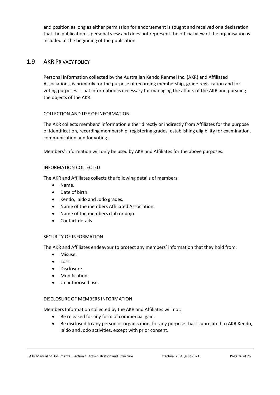and position as long as either permission for endorsement is sought and received or a declaration that the publication is personal view and does not represent the official view of the organisation is included at the beginning of the publication.

# <span id="page-35-0"></span>1.9 AKR PRIVACY POLICY

Personal information collected by the Australian Kendo Renmei Inc. (AKR) and Affiliated Associations, is primarily for the purpose of recording membership, grade registration and for voting purposes. That information is necessary for managing the affairs of the AKR and pursuing the objects of the AKR.

# COLLECTION AND USE OF INFORMATION

The AKR collects members' information either directly or indirectly from Affiliates for the purpose of identification, recording membership, registering grades, establishing eligibility for examination, communication and for voting.

Members' information will only be used by AKR and Affiliates for the above purposes.

# INFORMATION COLLECTED

The AKR and Affiliates collects the following details of members:

- Name.
- Date of birth.
- Kendo, Iaido and Jodo grades.
- Name of the members Affiliated Association.
- Name of the members club or dojo.
- Contact details.

# SECURITY OF INFORMATION

The AKR and Affiliates endeavour to protect any members' information that they hold from:

- Misuse.
- Loss.
- Disclosure.
- Modification.
- Unauthorised use.

# DISCLOSURE OF MEMBERS INFORMATION

Members Information collected by the AKR and Affiliates will not:

- Be released for any form of commercial gain.
- Be disclosed to any person or organisation, for any purpose that is unrelated to AKR Kendo, Iaido and Jodo activities, except with prior consent.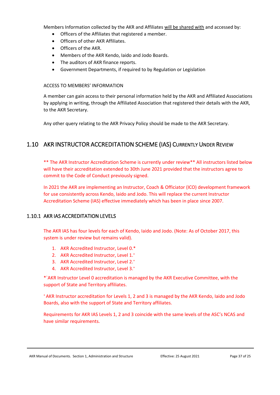Members Information collected by the AKR and Affiliates will be shared with and accessed by:

- Officers of the Affiliates that registered a member.
- Officers of other AKR Affiliates.
- Officers of the AKR.
- Members of the AKR Kendo, Iaido and Jodo Boards.
- The auditors of AKR finance reports.
- Government Departments, if required to by Regulation or Legislation

#### ACCESS TO MEMBERS' INFORMATION

A member can gain access to their personal information held by the AKR and Affiliated Associations by applying in writing, through the Affiliated Association that registered their details with the AKR, to the AKR Secretary.

Any other query relating to the AKR Privacy Policy should be made to the AKR Secretary.

# <span id="page-36-0"></span>1.10 AKR INSTRUCTOR ACCREDITATION SCHEME (IAS) CURRENTLY UNDER REVIEW

\*\* The AKR Instructor Accreditation Scheme is currently under review\*\* All instructors listed below will have their accreditation extended to 30th June 2021 provided that the instructors agree to commit to the Code of Conduct previously signed.

In 2021 the AKR are implementing an Instructor, Coach & Officiator (ICO) development framework for use consistently across Kendo, Iaido and Jodo. This will replace the current Instructor Accreditation Scheme (IAS) effective immediately which has been in place since 2007.

# <span id="page-36-1"></span>1.10.1 AKR IAS ACCREDITATION LEVELS

The AKR IAS has four levels for each of Kendo, Iaido and Jodo. (Note: As of October 2017, this system is under review but remains valid).

- 1. AKR Accredited Instructor, Level 0.\*
- 2. AKR Accredited Instructor, Level 1.<sup>+</sup>
- 3. AKR Accredited Instructor, Level 2.<sup>+</sup>
- 4. AKR Accredited Instructor, Level 3.<sup>+</sup>

\*`AKR Instructor Level 0 accreditation is managed by the AKR Executive Committee, with the support of State and Territory affiliates.

<sup>+</sup>AKR Instructor accreditation for Levels 1, 2 and 3 is managed by the AKR Kendo, Iaido and Jodo Boards, also with the support of State and Territory affiliates.

Requirements for AKR IAS Levels 1, 2 and 3 coincide with the same levels of the ASC's NCAS and have similar requirements.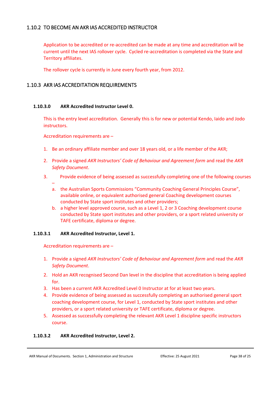# <span id="page-37-0"></span>1.10.2 TO BECOME AN AKR IAS ACCREDITED INSTRUCTOR

Application to be accredited or re-accredited can be made at any time and accreditation will be current until the next IAS rollover cycle. Cycled re-accreditation is completed via the State and Territory affiliates.

The rollover cycle is currently in June every fourth year, from 2012.

# <span id="page-37-1"></span>1.10.3 AKR IAS ACCREDITATION REQUIREMENTS

#### <span id="page-37-2"></span>**1.10.3.0 AKR Accredited Instructor Level 0.**

This is the entry level accreditation. Generally this is for new or potential Kendo, Iaido and Jodo instructors.

Accreditation requirements are –

- 1. Be an ordinary affiliate member and over 18 years old, or a life member of the AKR;
- 2. Provide a signed *AKR Instructors' Code of Behaviour and Agreement form* and read the *AKR Safety Document*.
- 3. Provide evidence of being assessed as successfully completing one of the following courses
	- a. the Australian Sports Commissions "Community Coaching General Principles Course", available online, or equivalent authorised general Coaching development courses conducted by State sport institutes and other providers;
	- b. a higher level approved course, such as a Level 1, 2 or 3 Coaching development course conducted by State sport institutes and other providers, or a sport related university or TAFE certificate, diploma or degree.

# <span id="page-37-3"></span>**1.10.3.1 AKR Accredited Instructor, Level 1.**

Accreditation requirements are –

- 1. Provide a signed *AKR Instructors' Code of Behaviour and Agreement form* and read the *AKR Safety Document*.
- 2. Hold an AKR recognised Second Dan level in the discipline that accreditation is being applied for.
- 3. Has been a current AKR Accredited Level 0 Instructor at for at least two years.
- 4. Provide evidence of being assessed as successfully completing an authorised general sport coaching development course, for Level 1, conducted by State sport institutes and other providers, or a sport related university or TAFE certificate, diploma or degree.
- 5. Assessed as successfully completing the relevant AKR Level 1 discipline specific instructors course.

# <span id="page-37-4"></span>**1.10.3.2 AKR Accredited Instructor, Level 2.**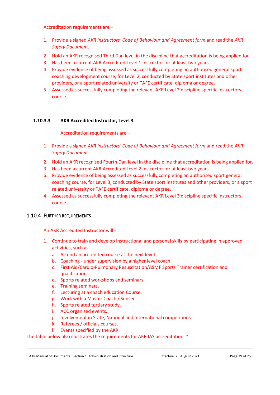Accreditation requirements are –

- 1. Provide a signed *AKR Instructors' Code of Behaviour and Agreement form* and read the *AKR Safety Document*.
- 2. Hold an AKR recognised Third Dan level in the discipline that accreditation is being applied for.
- 3. Has been a current AKR Accredited Level 1 Instructor for at least two years.
- 4. Provide evidence of being assessed as successfully completing an authorised general sport coaching development course, for Level 2, conducted by State sport institutes and other providers, or a sport related university or TAFE certificate, diploma or degree.
- 5. Assessed as successfully completing the relevant AKR Level 2 discipline specific instructors course.

#### <span id="page-38-0"></span>**1.10.3.3 AKR Accredited Instructor, Level 3.**

#### Accreditation requirements are –

- 1. Provide a signed *AKR Instructors' Code of Behaviour and Agreement form* and read the *AKR Safety Document*.
- 2. Hold an AKR recognised Fourth Dan level in the discipline that accreditation is being applied for.
- 3. Has been a current AKR Accredited Level 2 Instructor for at least two years.
- 6. Provide evidence of being assessed as successfully completing an authorised sport general coaching course, for Level 3, conducted by State sport institutes and other providers, or a sport related university or TAFE certificate, diploma or degree.
- 4. Assessed as successfully completing the relevant AKR Level 3 discipline specific instructors course.

# <span id="page-38-1"></span>1.10.4 FURTHER REQUIREMENTS

An AKR Accredited Instructor will -

- 1. Continue to train and develop instructional and personal skills by participating in approved activities, such as –
	- a. Attend an accredited course at the next level.
	- b. Coaching under supervision by a higher level coach.
	- c. First Aid/Cardio-Pulmonary Resuscitation/ASMF Sports Trainer certification and qualifications.
	- d. Sports related workshops and seminars.
	- e. Training seminars.
	- f. Lecturing at a coach education Course.
	- g. Work with a Master Coach / Sensei.
	- h. Sports related tertiary study.
	- i. ACC organised events.
	- j. Involvement in State, National and International competitions.
	- k. Referees / officials courses.
	- l. Events specified by the AKR.

The table below also illustrates the requirements for AKR IAS accreditation. \*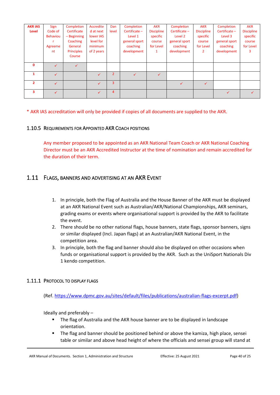| <b>AKR IAS</b> | Sign            | Completion        | Accredite    | Dan            | Completion      | <b>AKR</b>        | Completion      | <b>AKR</b>        | Completion      | <b>AKR</b>        |
|----------------|-----------------|-------------------|--------------|----------------|-----------------|-------------------|-----------------|-------------------|-----------------|-------------------|
| Level          | Code of         | Certificate       | d at next    | level          | Certificate $-$ | <b>Discipline</b> | Certificate $-$ | <b>Discipline</b> | Certificate $-$ | <b>Discipline</b> |
|                | <b>Behaviou</b> | $-$ Beginning     | lower IAS    |                | Level 1         | specific          | Level 2         | specific          | Level 3         | specific          |
|                |                 | Coaching          | level for    |                | general sport   | course            | general sport   | course            | general sport   | course            |
|                | Agreeme         | General           | minimum      |                | coaching        | for Level         | coaching        | for Level         | coaching        | for Level         |
|                | nt              | <b>Principles</b> | of 2 years   |                | development     | $\mathbf{1}$      | development     | 2                 | development     | 3                 |
|                |                 | Course            |              |                |                 |                   |                 |                   |                 |                   |
| $\mathbf{0}$   |                 |                   |              |                |                 |                   |                 |                   |                 |                   |
|                | $\checkmark$    | ✓                 |              |                |                 |                   |                 |                   |                 |                   |
|                |                 |                   |              | $\overline{2}$ |                 | ✓                 |                 |                   |                 |                   |
|                |                 |                   |              |                |                 |                   |                 |                   |                 |                   |
| $\overline{2}$ | ✓               |                   | $\checkmark$ | 3              |                 |                   | $\checkmark$    | $\checkmark$      |                 |                   |
| 3              | $\checkmark$    |                   | $\sqrt{}$    | 4              |                 |                   |                 |                   | $\checkmark$    | ✓                 |
|                |                 |                   |              |                |                 |                   |                 |                   |                 |                   |

\* AKR IAS accreditation will only be provided if copies of all documents are supplied to the AKR.

# <span id="page-39-0"></span>1.10.5 REQUIREMENTS FOR APPOINTED AKR COACH POSITIONS

Any member proposed to be appointed as an AKR National Team Coach or AKR National Coaching Director must be an AKR Accredited Instructor at the time of nomination and remain accredited for the duration of their term.

# <span id="page-39-1"></span>1.11 FLAGS, BANNERS AND ADVERTISING AT AN AKR EVENT

- 1. In principle, both the Flag of Australia and the House Banner of the AKR must be displayed at an AKR National Event such as Australian/AKR/National Championships, AKR seminars, grading exams or events where organisational support is provided by the AKR to facilitate the event.
- 2. There should be no other national flags, house banners, state flags, sponsor banners, signs or similar displayed (Incl. Japan flags) at an Australian/AKR National Event, in the competition area.
- 3. In principle, both the flag and banner should also be displayed on other occasions when funds or organisational support is provided by the AKR. Such as the UniSport Nationals Div 1 kendo competition.

# <span id="page-39-2"></span>1.11.1 PROTOCOL TO DISPLAY FLAGS

(Ref. [https://www.dpmc.gov.au/sites/default/files/publications/australian-flags-excerpt.pdf\)](https://www.dpmc.gov.au/sites/default/files/publications/australian-flags-excerpt.pdf)

Ideally and preferably –

- The flag of Australia and the AKR house banner are to be displayed in landscape orientation.
- The flag and banner should be positioned behind or above the kamiza, high place, sensei table or similar and above head height of where the officials and sensei group will stand at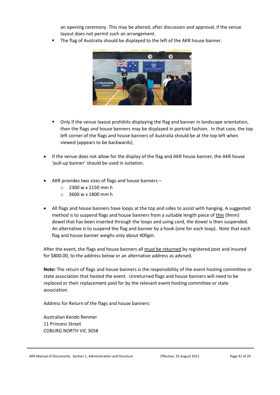an opening ceremony. This may be altered, after discussion and approval, if the venue layout does not permit such an arrangement.

The flag of Australia should be displayed to the left of the AKR house banner.



- Only if the venue layout prohibits displaying the flag and banner in landscape orientation, then the flags and house banners may be displayed in portrait fashion. In that case, the top left corner of the flags and house banners of Australia should be at the top left when viewed (appears to be backwards).
- If the venue does not allow for the display of the flag and AKR house banner, the AKR house 'pull-up banner' should be used in isolation.
- AKR provides two sizes of flags and house banners
	- o 2300 w x 1150 mm h
	- o 3600 w x 1800 mm h
- All flags and house banners have loops at the top and sides to assist with hanging. A suggested method is to suspend flags and house banners from a suitable length piece of thin (9mm) dowel that has been inserted through the loops and using cord, the dowel is then suspended. An alternative is to suspend the flag and banner by a hook (one for each loop). Note that each flag and house banner weighs only about 400gm.

After the event, the flags and house banners all must be returned by registered post and insured for \$800.00, to the address below or an alternative address as advised.

**Note:** The return of flags and house banners is the responsibility of the event hosting committee or state association that hosted the event. Unreturned flags and house banners will need to be replaced or their replacement paid for by the relevant event hosting committee or state association.

Address for Return of the flags and house banners:

Australian Kendo Renmei 11 Princess Street COBURG NORTH VIC 3058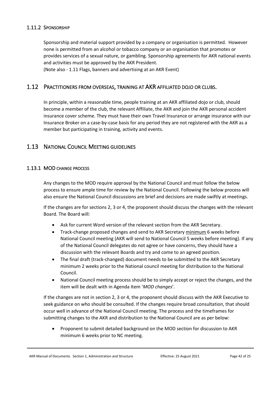# <span id="page-41-0"></span>1.11.2 SPONSORSHIP

Sponsorship and material support provided by a company or organisation is permitted. However none is permitted from an alcohol or tobacco company or an organisation that promotes or provides services of a sexual nature, or gambling. Sponsorship agreements for AKR national events and activities must be approved by the AKR President. (Note also - 1.11 Flags, banners and advertising at an AKR Event)

# <span id="page-41-1"></span>1.12 PRACTITIONERS FROM OVERSEAS, TRAINING AT AKR AFFILIATED DOJO OR CLUBS.

In principle, within a reasonable time, people training at an AKR affiliated dojo or club, should become a member of the club, the relevant Affiliate, the AKR and join the AKR personal accident insurance cover scheme. They must have their own Travel Insurance or arrange insurance with our Insurance Broker on a case-by-case basis for any period they are not registered with the AKR as a member but participating in training, activity and events.

# <span id="page-41-2"></span>1.13 NATIONAL COUNCIL MEETING GUIDELINES

#### <span id="page-41-3"></span>1.13.1 MOD CHANGE PROCESS

Any changes to the MOD require approval by the National Council and must follow the below process to ensure ample time for review by the National Council. Following the below process will also ensure the National Council discussions are brief and decisions are made swiftly at meetings.

If the changes are for sections 2, 3 or 4, the proponent should discuss the changes with the relevant Board. The Board will:

- Ask for current Word version of the relevant section from the AKR Secretary.
- Track-change proposed changes and send to AKR Secretary minimum 6 weeks before National Council meeting (AKR will send to National Council 5 weeks before meeting). If any of the National Council delegates do not agree or have concerns, they should have a discussion with the relevant Boards and try and come to an agreed position.
- The final draft (track-changed) document needs to be submitted to the AKR Secretary minimum 2 weeks prior to the National council meeting for distribution to the National Council.
- National Council meeting process should be to simply accept or reject the changes, and the item will be dealt with in Agenda Item '*MOD changes*'.

If the changes are not in section 2, 3 or 4, the proponent should discuss with the AKR Executive to seek guidance on who should be consulted. If the changes require broad consultation, that should occur well in advance of the National Council meeting. The process and the timeframes for submitting changes to the AKR and distribution to the National Council are as per below:

• Proponent to submit detailed background on the MOD section for discussion to AKR minimum 6 weeks prior to NC meeting.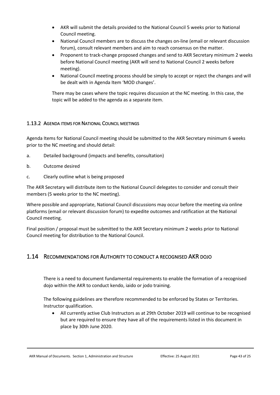- AKR will submit the details provided to the National Council 5 weeks prior to National Council meeting.
- National Council members are to discuss the changes on-line (email or relevant discussion forum), consult relevant members and aim to reach consensus on the matter.
- Proponent to track-change proposed changes and send to AKR Secretary minimum 2 weeks before National Council meeting (AKR will send to National Council 2 weeks before meeting).
- National Council meeting process should be simply to accept or reject the changes and will be dealt with in Agenda Item 'MOD changes'.

There may be cases where the topic requires discussion at the NC meeting. In this case, the topic will be added to the agenda as a separate item.

# <span id="page-42-0"></span>1.13.2 AGENDA ITEMS FOR NATIONAL COUNCIL MEETINGS

Agenda Items for National Council meeting should be submitted to the AKR Secretary minimum 6 weeks prior to the NC meeting and should detail:

- a. Detailed background (impacts and benefits, consultation)
- b. Outcome desired
- c. Clearly outline what is being proposed

The AKR Secretary will distribute item to the National Council delegates to consider and consult their members (5 weeks prior to the NC meeting).

Where possible and appropriate, National Council discussions may occur before the meeting via online platforms (email or relevant discussion forum) to expedite outcomes and ratification at the National Council meeting.

Final position / proposal must be submitted to the AKR Secretary minimum 2 weeks prior to National Council meeting for distribution to the National Council.

# <span id="page-42-1"></span>1.14 RECOMMENDATIONS FOR AUTHORITY TO CONDUCT A RECOGNISED AKR DOJO

There is a need to document fundamental requirements to enable the formation of a recognised dojo within the AKR to conduct kendo, iaido or jodo training.

The following guidelines are therefore recommended to be enforced by States or Territories. Instructor qualification.

• All currently active Club Instructors as at 29th October 2019 will continue to be recognised but are required to ensure they have all of the requirements listed in this document in place by 30th June 2020.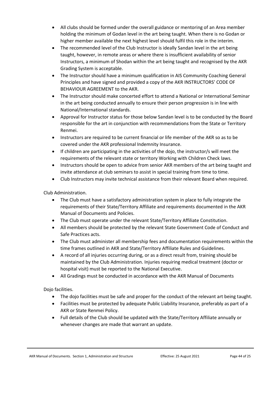- All clubs should be formed under the overall guidance or mentoring of an Area member holding the minimum of Godan level in the art being taught. When there is no Godan or higher member available the next highest level should fulfil this role in the interim.
- The recommended level of the Club Instructor is ideally Sandan level in the art being taught, however, in remote areas or where there is insufficient availability of senior Instructors, a minimum of Shodan within the art being taught and recognised by the AKR Grading System is acceptable.
- The Instructor should have a minimum qualification in AIS Community Coaching General Principles and have signed and provided a copy of the AKR INSTRUCTORS' CODE OF BEHAVIOUR AGREEMENT to the AKR.
- The Instructor should make concerted effort to attend a National or International Seminar in the art being conducted annually to ensure their person progression is in line with National/International standards.
- Approval for Instructor status for those below Sandan level is to be conducted by the Board responsible for the art in conjunction with recommendations from the State or Territory Renmei.
- Instructors are required to be current financial or life member of the AKR so as to be covered under the AKR professional Indemnity Insurance.
- If children are participating in the activities of the dojo, the instructor/s will meet the requirements of the relevant state or territory Working with Children Check laws.
- Instructors should be open to advice from senior AKR members of the art being taught and invite attendance at club seminars to assist in special training from time to time.
- Club Instructors may invite technical assistance from their relevant Board when required.

Club Administration.

- The Club must have a satisfactory administration system in place to fully integrate the requirements of their State/Territory Affiliate and requirements documented in the AKR Manual of Documents and Policies.
- The Club must operate under the relevant State/Territory Affiliate Constitution.
- All members should be protected by the relevant State Government Code of Conduct and Safe Practices acts.
- The Club must administer all membership fees and documentation requirements within the time frames outlined in AKR and State/Territory Affiliate Rules and Guidelines.
- A record of all injuries occurring during, or as a direct result from, training should be maintained by the Club Administration. Injuries requiring medical treatment (doctor or hospital visit) must be reported to the National Executive.
- All Gradings must be conducted in accordance with the AKR Manual of Documents

Dojo facilities.

- The dojo facilities must be safe and proper for the conduct of the relevant art being taught.
- Facilities must be protected by adequate Public Liability Insurance, preferably as part of a AKR or State Renmei Policy.
- Full details of the Club should be updated with the State/Territory Affiliate annually or whenever changes are made that warrant an update.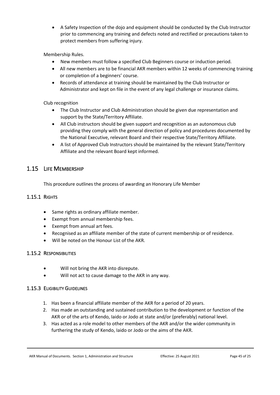• A Safety Inspection of the dojo and equipment should be conducted by the Club Instructor prior to commencing any training and defects noted and rectified or precautions taken to protect members from suffering injury.

Membership Rules.

- New members must follow a specified Club Beginners course or induction period.
- All new members are to be financial AKR members within 12 weeks of commencing training or completion of a beginners' course.
- Records of attendance at training should be maintained by the Club Instructor or Administrator and kept on file in the event of any legal challenge or insurance claims.

# Club recognition

- The Club Instructor and Club Administration should be given due representation and support by the State/Territory Affiliate.
- All Club instructors should be given support and recognition as an autonomous club providing they comply with the general direction of policy and procedures documented by the National Executive, relevant Board and their respective State/Territory Affiliate.
- A list of Approved Club Instructors should be maintained by the relevant State/Territory Affiliate and the relevant Board kept informed.

# <span id="page-44-0"></span>1.15 LIFE MEMBERSHIP

This procedure outlines the process of awarding an Honorary Life Member

# <span id="page-44-1"></span>1.15.1 RIGHTS

- Same rights as ordinary affiliate member.
- Exempt from annual membership fees.
- Exempt from annual art fees.
- Recognised as an affiliate member of the state of current membership or of residence.
- Will be noted on the Honour List of the AKR.

# <span id="page-44-2"></span>1.15.2 RESPONSIBILITIES

- Will not bring the AKR into disrepute.
- Will not act to cause damage to the AKR in any way.

# <span id="page-44-3"></span>1.15.3 ELIGIBILITY GUIDELINES

- 1. Has been a financial affiliate member of the AKR for a period of 20 years.
- 2. Has made an outstanding and sustained contribution to the development or function of the AKR or of the arts of Kendo, Iaido or Jodo at state and/or (preferably) national level.
- 3. Has acted as a role model to other members of the AKR and/or the wider community in furthering the study of Kendo, Iaido or Jodo or the aims of the AKR.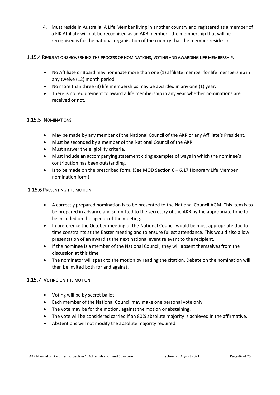4. Must reside in Australia. A Life Member living in another country and registered as a member of a FIK Affiliate will not be recognised as an AKR member - the membership that will be recognised is for the national organisation of the country that the member resides in.

# <span id="page-45-0"></span>1.15.4 REGULATIONS GOVERNING THE PROCESS OF NOMINATIONS, VOTING AND AWARDING LIFE MEMBERSHIP.

- No Affiliate or Board may nominate more than one (1) affiliate member for life membership in any twelve (12) month period.
- No more than three (3) life memberships may be awarded in any one (1) year.
- There is no requirement to award a life membership in any year whether nominations are received or not.

# <span id="page-45-1"></span>1.15.5 NOMINATIONS

- May be made by any member of the National Council of the AKR or any Affiliate's President.
- Must be seconded by a member of the National Council of the AKR.
- Must answer the eligibility criteria.
- Must include an accompanying statement citing examples of ways in which the nominee's contribution has been outstanding.
- Is to be made on the prescribed form. (See MOD Section  $6-6.17$  Honorary Life Member nomination form).

# <span id="page-45-2"></span>1.15.6 PRESENTING THE MOTION.

- A correctly prepared nomination is to be presented to the National Council AGM. This item is to be prepared in advance and submitted to the secretary of the AKR by the appropriate time to be included on the agenda of the meeting.
- In preference the October meeting of the National Council would be most appropriate due to time constraints at the Easter meeting and to ensure fullest attendance. This would also allow presentation of an award at the next national event relevant to the recipient.
- If the nominee is a member of the National Council, they will absent themselves from the discussion at this time.
- The nominator will speak to the motion by reading the citation. Debate on the nomination will then be invited both for and against.

# <span id="page-45-3"></span>1.15.7 VOTING ON THE MOTION.

- Voting will be by secret ballot.
- Each member of the National Council may make one personal vote only.
- The vote may be for the motion, against the motion or abstaining.
- The vote will be considered carried if an 80% absolute majority is achieved in the affirmative.
- Abstentions will not modify the absolute majority required.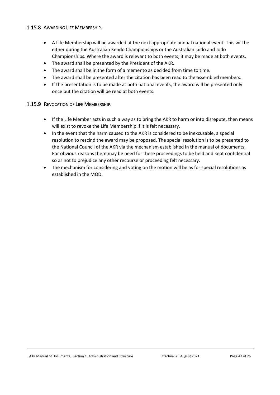# <span id="page-46-0"></span>1.15.8 AWARDING LIFE MEMBERSHIP.

- A Life Membership will be awarded at the next appropriate annual national event. This will be either during the Australian Kendo Championships or the Australian Iaido and Jodo Championships. Where the award is relevant to both events, it may be made at both events.
- The award shall be presented by the President of the AKR.
- The award shall be in the form of a memento as decided from time to time.
- The award shall be presented after the citation has been read to the assembled members.
- If the presentation is to be made at both national events, the award will be presented only once but the citation will be read at both events.

# <span id="page-46-1"></span>1.15.9 REVOCATION OF LIFE MEMBERSHIP.

- If the Life Member acts in such a way as to bring the AKR to harm or into disrepute, then means will exist to revoke the Life Membership if it is felt necessary.
- In the event that the harm caused to the AKR is considered to be inexcusable, a special resolution to rescind the award may be proposed. The special resolution is to be presented to the National Council of the AKR via the mechanism established in the manual of documents. For obvious reasons there may be need for these proceedings to be held and kept confidential so as not to prejudice any other recourse or proceeding felt necessary.
- The mechanism for considering and voting on the motion will be as for special resolutions as established in the MOD.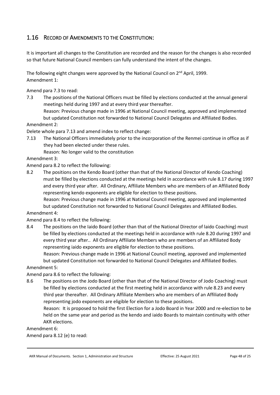# <span id="page-47-0"></span>1.16 RECORD OF AMENDMENTS TO THE CONSTITUTION:

It is important all changes to the Constitution are recorded and the reason for the changes is also recorded so that future National Council members can fully understand the intent of the changes.

The following eight changes were approved by the National Council on 2<sup>nd</sup> April, 1999. Amendment 1:

Amend para 7.3 to read:

7.3 The positions of the National Officers must be filled by elections conducted at the annual general meetings held during 1997 and at every third year thereafter.

Reason: Previous change made in 1996 at National Council meeting, approved and implemented but updated Constitution not forwarded to National Council Delegates and Affiliated Bodies.

Amendment 2:

Delete whole para 7.13 and amend index to reflect change:

7.13 The National Officers immediately prior to the incorporation of the Renmei continue in office as if they had been elected under these rules.

Reason: No longer valid to the constitution

Amendment 3:

Amend para 8.2 to reflect the following:

8.2 The positions on the Kendo Board (other than that of the National Director of Kendo Coaching) must be filled by elections conducted at the meetings held in accordance with rule 8.17 during 1997 and every third year after. All Ordinary, Affiliate Members who are members of an Affiliated Body representing kendo exponents are eligible for election to these positions.

Reason: Previous change made in 1996 at National Council meeting, approved and implemented but updated Constitution not forwarded to National Council Delegates and Affiliated Bodies.

Amendment 4:

Amend para 8.4 to reflect the following:

8.4 The positions on the Iaido Board (other than that of the National Director of laido Coaching) must be filled by elections conducted at the meetings held in accordance with rule 8.20 during 1997 and every third year after.. All Ordinary Affiliate Members who are members of an Affiliated Body representing iaido exponents are eligible for election to these positions.

Reason: Previous change made in 1996 at National Council meeting, approved and implemented but updated Constitution not forwarded to National Council Delegates and Affiliated Bodies.

Amendment 5:

Amend para 8.6 to reflect the following:

8.6 The positions on the Jodo Board (other than that of the National Director of Jodo Coaching) must be filled by elections conducted at the first meeting held in accordance with rule 8.23 and every third year thereafter. All Ordinary Affiliate Members who are members of an Affiliated Body representing jodo exponents are eligible for election to these positions.

Reason: It is proposed to hold the first Election for a Jodo Board in Year 2000 and re-election to be held on the same year and period as the kendo and iaido Boards to maintain continuity with other AKR elections.

Amendment 6:

Amend para 8.12 (e) to read: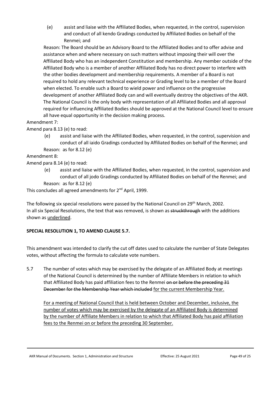(e) assist and liaise with the Affiliated Bodies, when requested, in the control, supervision and conduct of all kendo Gradings conducted by Affiliated Bodies on behalf of the Renmei; and

Reason: The Board should be an Advisory Board to the Affiliated Bodies and to offer advise and assistance when and where necessary on such matters without imposing their will over the Affiliated Body who has an independent Constitution and membership. Any member outside of the Affiliated Body who is a member of another Affiliated Body has no direct power to interfere with the other bodies development and membership requirements. A member of a Board is not required to hold any relevant technical experience or Grading level to be a member of the Board when elected. To enable such a Board to wield power and influence on the progressive development of another Affiliated Body can and will eventually destroy the objectives of the AKR. The National Council is the only body with representation of all Affiliated Bodies and all approval required for influencing Affiliated Bodies should be approved at the National Council level to ensure all have equal opportunity in the decision making process.

# Amendment 7:

Amend para 8.13 (e) to read:

(e) assist and liaise with the Affiliated Bodies, when requested, in the control, supervision and conduct of all iaido Gradings conducted by Affiliated Bodies on behalf of the Renmei; and Reason: as for 8.12 (e)

Amendment 8:

Amend para 8.14 (e) to read:

(e) assist and liaise with the Affiliated Bodies, when requested, in the control, supervision and conduct of all jodo Gradings conducted by Affiliated Bodies on behalf of the Renmei; and Reason: as for 8.12 (e)

This concludes all agreed amendments for 2<sup>nd</sup> April, 1999.

The following six special resolutions were passed by the National Council on 29<sup>th</sup> March, 2002. In all six Special Resolutions, the text that was removed, is shown as struckthrough with the additions shown as *underlined*.

# **SPECIAL RESOLUTION 1, TO AMEND CLAUSE 5.7.**

This amendment was intended to clarify the cut off dates used to calculate the number of State Delegates votes, without affecting the formula to calculate vote numbers.

5.7 The number of votes which may be exercised by the delegate of an Affiliated Body at meetings of the National Council is determined by the number of Affiliate Members in relation to which that Affiliated Body has paid affiliation fees to the Renmei on or before the preceding 31 December for the Membership Year which included for the current Membership Year.

For a meeting of National Council that is held between October and December, inclusive, the number of votes which may be exercised by the delegate of an Affiliated Body is determined by the number of Affiliate Members in relation to which that Affiliated Body has paid affiliation fees to the Renmei on or before the preceding 30 September.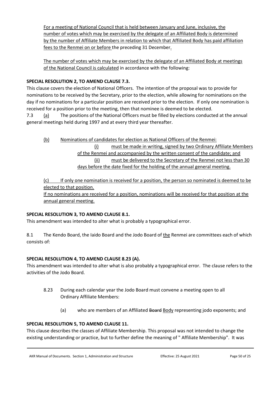For a meeting of National Council that is held between January and June, inclusive, the number of votes which may be exercised by the delegate of an Affiliated Body is determined by the number of Affiliate Members in relation to which that Affiliated Body has paid affiliation fees to the Renmei on or before the preceding 31 December.

The number of votes which may be exercised by the delegate of an Affiliated Body at meetings of the National Council is calculated in accordance with the following:

# **SPECIAL RESOLUTION 2, TO AMEND CLAUSE 7.3.**

This clause covers the election of National Officers. The intention of the proposal was to provide for nominations to be received by the Secretary, prior to the election, while allowing for nominations on the day if no nominations for a particular position are received prior to the election. If only one nomination is received for a position prior to the meeting, then that nominee is deemed to be elected.

7.3  $(a)$  The positions of the National Officers must be filled by elections conducted at the annual general meetings held during 1997 and at every third year thereafter.

(b) Nominations of candidates for election as National Officers of the Renmei: (i) must be made in writing, signed by two Ordinary Affiliate Members of the Renmei and accompanied by the written consent of the candidate; and (ii) must be delivered to the Secretary of the Renmei not less than 30 days before the date fixed for the holding of the annual general meeting.

(c) If only one nomination is received for a position, the person so nominated is deemed to be elected to that position.

If no nominations are received for a position, nominations will be received for that position at the annual general meeting.

# **SPECIAL RESOLUTION 3, TO AMEND CLAUSE 8.1.**

This amendment was intended to alter what is probably a typographical error.

8.1 The Kendo Board, the Iaido Board and the Jodo Board of the Renmei are committees each of which consists of:

# **SPECIAL RESOLUTION 4, TO AMEND CLAUSE 8.23 (A).**

This amendment was intended to alter what is also probably a typographical error. The clause refers to the activities of the Jodo Board.

- 8.23 During each calendar year the Jodo Board must convene a meeting open to all Ordinary Affiliate Members:
	- (a) who are members of an Affiliated Board Body representing jodo exponents; and

# **SPECIAL RESOLUTION 5, TO AMEND CLAUSE 11.**

This clause describes the classes of Affiliate Membership. This proposal was not intended to change the existing understanding or practice, but to further define the meaning of " Affiliate Membership". It was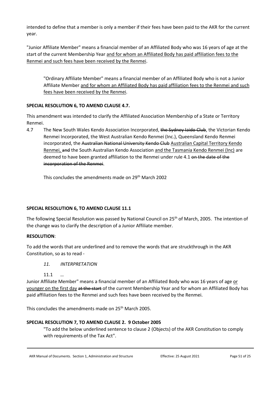intended to define that a member is only a member if their fees have been paid to the AKR for the current year.

"Junior Affiliate Member" means a financial member of an Affiliated Body who was 16 years of age at the start of the current Membership Year and for whom an Affiliated Body has paid affiliation fees to the Renmei and such fees have been received by the Renmei.

"Ordinary Affiliate Member" means a financial member of an Affiliated Body who is not a Junior Affiliate Member and for whom an Affiliated Body has paid affiliation fees to the Renmei and such fees have been received by the Renmei.

# **SPECIAL RESOLUTION 6, TO AMEND CLAUSE 4.7.**

This amendment was intended to clarify the Affiliated Association Membership of a State or Territory Renmei.

4.7 The New South Wales Kendo Association Incorporated, the Sydney Iaido Club, the Victorian Kendo Renmei Incorporated, the West Australian Kendo Renmei (Inc.), Queensland Kendo Renmei incorporated, the Australian National University Kendo Club Australian Capital Territory Kendo Renmei, and the South Australian Kendo Association and the Tasmania Kendo Renmei (Inc) are deemed to have been granted affiliation to the Renmei under rule 4.1 on the date of the incorporation of the Renmei.

This concludes the amendments made on 29<sup>th</sup> March 2002

# **SPECIAL RESOLUTION 6, TO AMEND CLAUSE 11.1**

The following Special Resolution was passed by National Council on 25th of March, 2005. The intention of the change was to clarify the description of a Junior Affiliate member.

# **RESOLUTION**:

To add the words that are underlined and to remove the words that are struckthrough in the AKR Constitution, so as to read -

# *11. INTERPRETATION*

11.1 *…*

Junior Affiliate Member" means a financial member of an Affiliated Body who was 16 years of age or younger on the first day at the start of the current Membership Year and for whom an Affiliated Body has paid affiliation fees to the Renmei and such fees have been received by the Renmei.

This concludes the amendments made on 25<sup>th</sup> March 2005.

# **SPECIAL RESOLUTION 7, TO AMEND CLAUSE 2. 9 October 2005**

"To add the below underlined sentence to clause 2 (Objects) of the AKR Constitution to comply with requirements of the Tax Act".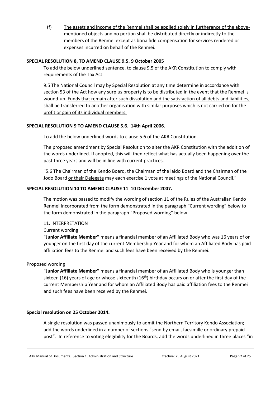(f) The assets and income of the Renmei shall be applied solely in furtherance of the abovementioned objects and no portion shall be distributed directly or indirectly to the members of the Renmei except as bona fide compensation for services rendered or expenses incurred on behalf of the Renmei.

### **SPECIAL RESOLUTION 8, TO AMEND CLAUSE 9.5. 9 October 2005**

To add the below underlined sentence, to clause 9.5 of the AKR Constitution to comply with requirements of the Tax Act.

9.5 The National Council may by Special Resolution at any time determine in accordance with section 53 of the Act how any surplus property is to be distributed in the event that the Renmei is wound-up. Funds that remain after such dissolution and the satisfaction of all debts and liabilities, shall be transferred to another organisation with similar purposes which is not carried on for the profit or gain of its individual members.

#### **SPECIAL RESOLUTION 9 TO AMEND CLAUSE 5.6. 14th April 2006.**

To add the below underlined words to clause 5.6 of the AKR Constitution.

The proposed amendment by Special Resolution to alter the AKR Constitution with the addition of the words underlined. If adopted, this will then reflect what has actually been happening over the past three years and will be in line with current practices.

"5.6 The Chairman of the Kendo Board, the Chairman of the laido Board and the Chairman of the Jodo Board or their Delegate may each exercise 1 vote at meetings of the National Council."

#### **SPECIAL RESOLUTION 10 TO AMEND CLAUSE 11 10 December 2007.**

The motion was passed to modify the wording of section 11 of the Rules of the Australian Kendo Renmei Incorporated from the form demonstrated in the paragraph "Current wording" below to the form demonstrated in the paragraph "Proposed wording" below.

11. INTERPRETATION

Current wording

**"Junior Affiliate Member"** means a financial member of an Affiliated Body who was 16 years of or younger on the first day of the current Membership Year and for whom an Affiliated Body has paid affiliation fees to the Renmei and such fees have been received by the Renmei.

#### Proposed wording

**"Junior Affiliate Member"** means a financial member of an Affiliated Body who is younger than sixteen (16) years of age or whose sixteenth (16<sup>th</sup>) birthday occurs on or after the first day of the current Membership Year and for whom an Affiliated Body has paid affiliation fees to the Renmei and such fees have been received by the Renmei.

#### **Special resolution on 25 October 2014.**

A single resolution was passed unanimously to admit the Northern Territory Kendo Association; add the words underlined in a number of sections "send by email, facsimille or ordinary prepaid post". In reference to voting elegibility for the Boards, add the words underlined in three places "in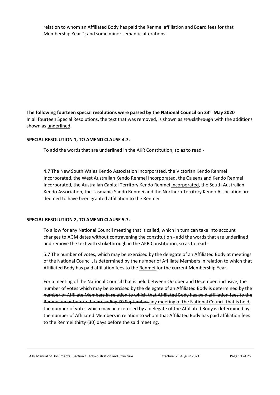relation to whom an Affiliated Body has paid the Renmei affiliation and Board fees for that Membership Year."; and some minor semantic alterations.

**The following fourteen special resolutions were passed by the National Council on 23rd May 2020** In all fourteen Special Resolutions, the text that was removed, is shown as struckthrough with the additions shown as underlined.

#### **SPECIAL RESOLUTION 1, TO AMEND CLAUSE 4.7.**

To add the words that are underlined in the AKR Constitution, so as to read -

4.7 The New South Wales Kendo Association Incorporated, the Victorian Kendo Renmei Incorporated, the West Australian Kendo Renmei Incorporated, the Queensland Kendo Renmei Incorporated, the Australian Capital Territory Kendo Renmei Incorporated, the South Australian Kendo Association, the Tasmania Sando Renmei and the Northern Territory Kendo Association are deemed to have been granted affiliation to the Renmei.

#### **SPECIAL RESOLUTION 2, TO AMEND CLAUSE 5.7.**

To allow for any National Council meeting that is called, which in turn can take into account changes to AGM dates without contravening the constitution - add the words that are underlined and remove the text with strikethrough in the AKR Constitution, so as to read -

5.7 The number of votes, which may be exercised by the delegate of an Affiliated Body at meetings of the National Council, is determined by the number of Affiliate Members in relation to which that Affiliated Body has paid affiliation fees to the Renmei for the current Membership Year.

For a meeting of the National Council that is held between October and December, inclusive, the number of votes which may be exercised by the delegate of an Affiliated Body is determined by the number of Affiliate Members in relation to which that Affiliated Body has paid affiliation fees to the Renmei on or before the preceding 30 September any meeting of the National Council that is held, the number of votes which may be exercised by a delegate of the Affiliated Body is determined by the number of Affiliated Members in relation to whom that Affiliated Body has paid affiliation fees to the Renmei thirty (30) days before the said meeting.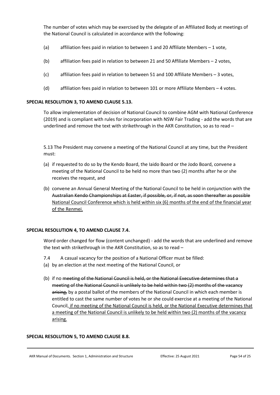The number of votes which may be exercised by the delegate of an Affiliated Body at meetings of the National Council is calculated in accordance with the following:

- (a) affiliation fees paid in relation to between 1 and 20 Affiliate Members 1 vote,
- (b) affiliation fees paid in relation to between 21 and 50 Affiliate Members 2 votes,
- (c) affiliation fees paid in relation to between 51 and 100 Affiliate Members 3 votes,
- (d) affiliation fees paid in relation to between 101 or more Affiliate Members 4 votes.

#### **SPECIAL RESOLUTION 3, TO AMEND CLAUSE 5.13.**

To allow implementation of decision of National Council to combine AGM with National Conference (2019) and is compliant with rules for incorporation with NSW Fair Trading - add the words that are underlined and remove the text with strikethrough in the AKR Constitution, so as to read –

5.13 The President may convene a meeting of the National Council at any time, but the President must:

- (a) if requested to do so by the Kendo Board, the Iaido Board or the Jodo Board, convene a meeting of the National Council to be held no more than two (2) months after he or she receives the request, and
- (b) convene an Annual General Meeting of the National Council to be held in conjunction with the Australian Kendo Championships at Easter, if possible, or, if not, as soon thereafter as possible National Council Conference which is held within six (6) months of the end of the financial year of the Renmei.

#### **SPECIAL RESOLUTION 4, TO AMEND CLAUSE 7.4.**

Word order changed for flow (content unchanged) - add the words that are underlined and remove the text with strikethrough in the AKR Constitution, so as to read –

- 7.4 A casual vacancy for the position of a National Officer must be filled:
- (a) by an election at the next meeting of the National Council, or
- (b) if no meeting of the National Council is held, or the National Executive determines that a meeting of the National Council is unlikely to be held within two (2) months of the vacancy arising, by a postal ballot of the members of the National Council in which each member is entitled to cast the same number of votes he or she could exercise at a meeting of the National Council, if no meeting of the National Council is held, or the National Executive determines that a meeting of the National Council is unlikely to be held within two (2) months of the vacancy arising.

#### **SPECIAL RESOLUTION 5, TO AMEND CLAUSE 8.8.**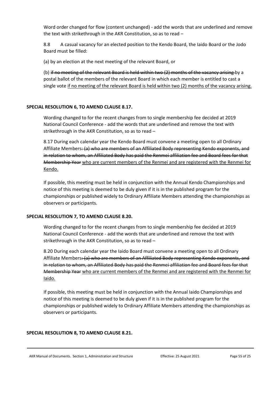Word order changed for flow (content unchanged) - add the words that are underlined and remove the text with strikethrough in the AKR Constitution, so as to read –

8.8 A casual vacancy for an elected position to the Kendo Board, the Iaido Board or the Jodo Board must be filled:

(a) by an election at the next meeting of the relevant Board, or

(b) if no meeting of the relevant Board is held within two (2) months of the vacancy arising by a postal ballot of the members of the relevant Board in which each member is entitled to cast a single vote if no meeting of the relevant Board is held within two (2) months of the vacancy arising.

#### **SPECIAL RESOLUTION 6, TO AMEND CLAUSE 8.17.**

Wording changed to for the recent changes from to single membership fee decided at 2019 National Council Conference - add the words that are underlined and remove the text with strikethrough in the AKR Constitution, so as to read –

8.17 During each calendar year the Kendo Board must convene a meeting open to all Ordinary Affiliate Members: (a) who are members of an Affiliated Body representing Kendo exponents, and in relation to whom, an Affiliated Body has paid the Renmei affiliation fee and Board fees for that Membership Year who are current members of the Renmei and are registered with the Renmei for Kendo.

If possible, this meeting must be held in conjunction with the Annual Kendo Championships and notice of this meeting is deemed to be duly given if it is in the published program for the championships or published widely to Ordinary Affiliate Members attending the championships as observers or participants.

#### **SPECIAL RESOLUTION 7, TO AMEND CLAUSE 8.20.**

Wording changed to for the recent changes from to single membership fee decided at 2019 National Council Conference - add the words that are underlined and remove the text with strikethrough in the AKR Constitution, so as to read –

8.20 During each calendar year the Iaido Board must convene a meeting open to all Ordinary Affiliate Members: (a) who are members of an Affiliated Body representing Kendo exponents, and in relation to whom, an Affiliated Body has paid the Renmei affiliation fee and Board fees for that Membership Year who are current members of the Renmei and are registered with the Renmei for Iaido.

If possible, this meeting must be held in conjunction with the Annual Iaido Championships and notice of this meeting is deemed to be duly given if it is in the published program for the championships or published widely to Ordinary Affiliate Members attending the championships as observers or participants.

#### **SPECIAL RESOLUTION 8, TO AMEND CLAUSE 8.21.**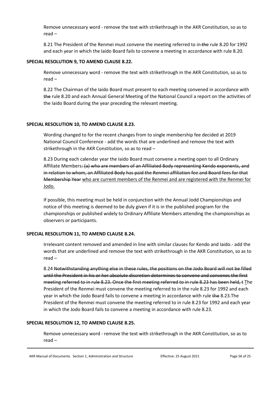Remove unnecessary word - remove the text with strikethrough in the AKR Constitution, so as to read –

8.21 The President of the Renmei must convene the meeting referred to in the rule 8.20 for 1992 and each year in which the Iaido Board fails to convene a meeting in accordance with rule 8.20.

#### **SPECIAL RESOLUTION 9, TO AMEND CLAUSE 8.22.**

Remove unnecessary word - remove the text with strikethrough in the AKR Constitution, so as to read –

8.22 The Chairman of the Iaido Board must present to each meeting convened in accordance with the rule 8.20 and each Annual General Meeting of the National Council a report on the activities of the Iaido Board during the year preceding the relevant meeting.

#### **SPECIAL RESOLUTION 10, TO AMEND CLAUSE 8.23.**

Wording changed to for the recent changes from to single membership fee decided at 2019 National Council Conference - add the words that are underlined and remove the text with strikethrough in the AKR Constitution, so as to read –

8.23 During each calendar year the Iaido Board must convene a meeting open to all Ordinary Affiliate Members: (a) who are members of an Affiliated Body representing Kendo exponents, and in relation to whom, an Affiliated Body has paid the Renmei affiliation fee and Board fees for that Membership Year who are current members of the Renmei and are registered with the Renmei for Jodo.

If possible, this meeting must be held in conjunction with the Annual Jodd Championships and notice of this meeting is deemed to be duly given if it is in the published program for the championships or published widely to Ordinary Affiliate Members attending the championships as observers or participants.

# **SPECIAL RESOLUTION 11, TO AMEND CLAUSE 8.24.**

Irrelevant content removed and amended in line with similar clauses for Kendo and Iaido.- add the words that are underlined and remove the text with strikethrough in the AKR Constitution, so as to read –

8.24 Notwithstanding anything else in these rules, the positions on the Jodo Board will not be filled until the President in his or her absolute discretion determines to convene and convenes the first meeting referred to in rule 8.23. Once the first meeting referred to in rule 8.23 has been held, t The President of the Renmei must convene the meeting referred to in the rule 8.23 for 1992 and each year in which the Jodo Board fails to convene a meeting in accordance with rule the 8.23.The President of the Renmei must convene the meeting referred to in rule 8.23 for 1992 and each year in which the Jodo Board fails to convene a meeting in accordance with rule 8.23.

#### **SPECIAL RESOLUTION 12, TO AMEND CLAUSE 8.25.**

Remove unnecessary word - remove the text with strikethrough in the AKR Constitution, so as to read –